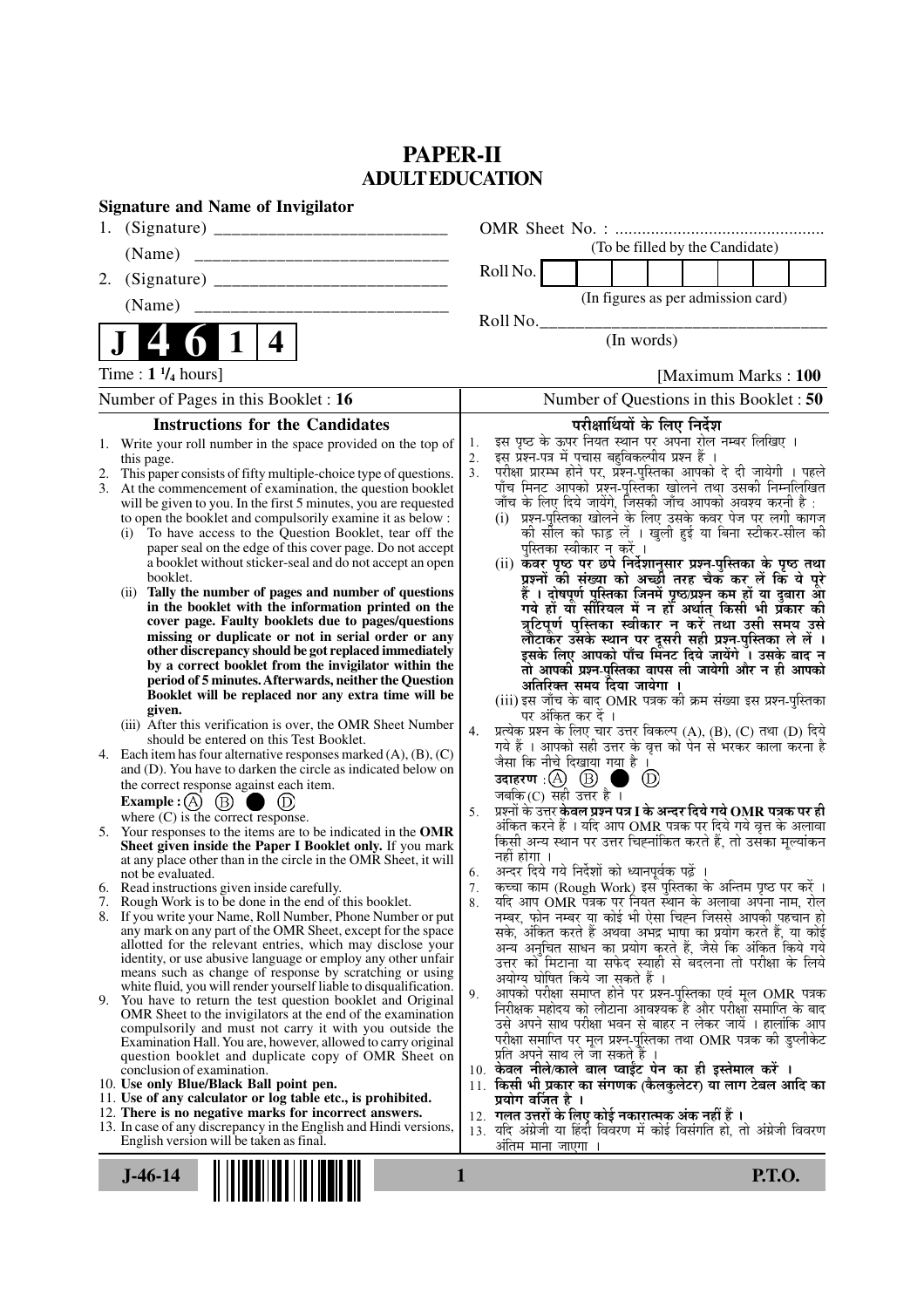## **PAPER-II ADULT EDUCATION**

| <b>Signature and Name of Invigilator</b>                                                                                       |                                                                                                                                                                               |
|--------------------------------------------------------------------------------------------------------------------------------|-------------------------------------------------------------------------------------------------------------------------------------------------------------------------------|
| 1.                                                                                                                             |                                                                                                                                                                               |
|                                                                                                                                | (To be filled by the Candidate)                                                                                                                                               |
| 2.                                                                                                                             | Roll No.                                                                                                                                                                      |
| (Name)                                                                                                                         | (In figures as per admission card)                                                                                                                                            |
|                                                                                                                                | Roll No.                                                                                                                                                                      |
| $\overline{\mathbf{4}}$                                                                                                        | (In words)                                                                                                                                                                    |
| Time: $1\frac{1}{4}$ hours]                                                                                                    | [Maximum Marks: 100                                                                                                                                                           |
| Number of Pages in this Booklet : 16                                                                                           | Number of Questions in this Booklet: 50                                                                                                                                       |
| <b>Instructions for the Candidates</b>                                                                                         | परीक्षार्थियों के लिए निर्देश                                                                                                                                                 |
| Write your roll number in the space provided on the top of<br>1.                                                               | इस पृष्ठ के ऊपर नियत स्थान पर अपना रोल नम्बर लिखिए ।<br>1.<br>इस प्रश्न-पत्र में पचास बहुविकल्पीय प्रश्न हैं ।<br>2.                                                          |
| this page.<br>This paper consists of fifty multiple-choice type of questions.<br>2.                                            | परीक्षा प्रारम्भ होने पर, प्रश्न-पुस्तिका आपको दे दी जायेगी । पहले<br>पाँच मिनट आपको प्रश्न-पुस्तिका खोलने तथा उसकी निम्नलिखित<br>3 <sub>1</sub>                              |
| 3. At the commencement of examination, the question booklet<br>will be given to you. In the first 5 minutes, you are requested | जाँच के लिए दिये जायेंगे, जिसकी जाँच आपको अवश्य करनी है :                                                                                                                     |
| to open the booklet and compulsorily examine it as below :                                                                     | (i) प्रश्न-पुस्तिका खोलने के लिए उसके कवर पेज पर लगी कागज                                                                                                                     |
| To have access to the Question Booklet, tear off the<br>(i)                                                                    | को सील को फाड़ लें । खुली हुई या बिना स्टीकर-सील की                                                                                                                           |
| paper seal on the edge of this cover page. Do not accept<br>a booklet without sticker-seal and do not accept an open           | पुस्तिका स्वीकार न करें ।<br>(ii) कवर पृष्ठ पर छपे निर्देशानुसार प्रश्न-पुस्तिका के पृष्ठ तथा                                                                                 |
| booklet.                                                                                                                       | प्रश्नों की संख्या को अच्छौ तरह चैक कर लें कि ये पूरे                                                                                                                         |
| Tally the number of pages and number of questions<br>(i)<br>in the booklet with the information printed on the                 | हैं । दोषपूर्ण पुस्तिका जिनमें पृष्ठ/प्रश्न कम हों या दुबारा आ<br>गये हो या सीरियल में न हो अर्थात् किसी भी प्रकार की                                                         |
| cover page. Faulty booklets due to pages/questions                                                                             | त्रुटिपूर्ण पुस्तिका स्वीकार न करें तथा उसी समय उसे                                                                                                                           |
| missing or duplicate or not in serial order or any<br>other discrepancy should be got replaced immediately                     | लौटाकर उसके स्थान पर दूसरी सही प्रश्न-पुस्तिका ले लें ।<br>इसके लिए आपको पाँच मिनट दिये जायेंगे । उसके बाद न्                                                                 |
| by a correct booklet from the invigilator within the                                                                           | तो आपकी प्रश्न-पुस्तिका वापस ली जायेगी और न ही आपको                                                                                                                           |
| period of 5 minutes. Afterwards, neither the Question<br>Booklet will be replaced nor any extra time will be                   | अतिरिक्त समय दिया जायेगा ।                                                                                                                                                    |
| given.                                                                                                                         | (iii) इस जाँच के बाद OMR पत्रक की क्रम संख्या इस प्रश्न-पुस्तिका<br>पर अंकित कर दें ।                                                                                         |
| (iii) After this verification is over, the OMR Sheet Number<br>should be entered on this Test Booklet.                         | प्रत्येक प्रश्न के लिए चार उत्तर विकल्प (A), (B), (C) तथा (D) दिये<br>4.                                                                                                      |
| 4. Each item has four alternative responses marked $(A)$ , $(B)$ , $(C)$                                                       | गये हैं । आपको सही उत्तर के वृत्त को पेन से भरकर काला करना है<br>जैसा कि नीचे दिखाया गया है।                                                                                  |
| and (D). You have to darken the circle as indicated below on                                                                   | $\circled{D}$                                                                                                                                                                 |
| the correct response against each item.<br><b>Example:</b> (A) $(B)$<br>(D)                                                    | जबकि (C) सही उत्तर है $\overline{1}$                                                                                                                                          |
| where $(C)$ is the correct response.                                                                                           | प्रश्नों के उत्तर <b>केवल प्रश्न पत्र I के अन्दर दिये गये OMR पत्रक पर ही</b><br>5.<br>अंकित करने हैं । यदि आप OMR पत्रक पर दिये गये वृत्त के अलावा                           |
| 5. Your responses to the items are to be indicated in the OMR<br>Sheet given inside the Paper I Booklet only. If you mark      | किसी अन्य स्थान पर उत्तर चिह्नांकित करते हैं, तो उसका मृल्यांकन                                                                                                               |
| at any place other than in the circle in the OMR Sheet, it will                                                                | नहीं होगा ।                                                                                                                                                                   |
| not be evaluated.<br>6. Read instructions given inside carefully.                                                              | अन्दर दिये गये निर्देशों को ध्यानपूर्वक पढ़ें ।<br>6.<br>राज्ञ पत्र पत्र पास्त्रमा स्थाप्यापूर्णले पूर्ण ।<br>कृत्व्या काम (Rough Work) इस पुस्तिका के अन्तिम पृष्ठ पर करें । |
| 7. Rough Work is to be done in the end of this booklet.                                                                        | यदि आप OMR पत्रक पर नियत स्थान के अलावा अपना नाम, रोल<br>8.                                                                                                                   |
| If you write your Name, Roll Number, Phone Number or put<br>8.<br>any mark on any part of the OMR Sheet, except for the space  | नम्बर, फोन नम्बर या कोई भी ऐसा चिह्न जिससे आपकी पहचान हो<br>सके, अंकित करते हैं अथवा अभद्र भाषा का प्रयोग करते हैं, या कोई                                                    |
| allotted for the relevant entries, which may disclose your                                                                     | अन्य अनुचित साधन का प्रयोग करते हैं, जैसे कि अंकित किये गये                                                                                                                   |
| identity, or use abusive language or employ any other unfair<br>means such as change of response by scratching or using        | उत्तर को मिटाना या सफेद स्याही से बदलना तो परीक्षा के लिये                                                                                                                    |
| white fluid, you will render yourself liable to disqualification.                                                              | अयोग्य घोषित किये जा सकते हैं ।<br>आपको परीक्षा समाप्त होने पर प्रश्न-पुस्तिका एवं मूल OMR पत्रक<br>9.                                                                        |
| 9. You have to return the test question booklet and Original<br>OMR Sheet to the invigilators at the end of the examination    | निरीक्षक महोदय को लौटाना आवश्यक है और परीक्षा समाप्ति के बाद                                                                                                                  |
| compulsorily and must not carry it with you outside the                                                                        | उसे अपने साथ परीक्षा भवन से बाहर न लेकर जायें । हालांकि आप<br>परीक्षा समाप्ति पर मूल प्रश्न-पुस्तिका तथा OMR पत्रक की डुप्लीकेट                                               |
| Examination Hall. You are, however, allowed to carry original<br>question booklet and duplicate copy of OMR Sheet on           | प्रति अपने साथ ले जा सकते हैं ।                                                                                                                                               |
| conclusion of examination.                                                                                                     | 10. केवल नीले/काले बाल प्वाईंट पेन का ही इस्तेमाल करें ।                                                                                                                      |
| 10. Use only Blue/Black Ball point pen.<br>11. Use of any calculator or log table etc., is prohibited.                         | 11. किसी भी प्रकार का संगणक (कैलकुलेटर) या लाग टेबल आदि का<br>प्रयोग वर्जित है ।                                                                                              |
| 12. There is no negative marks for incorrect answers.                                                                          | 12. गलत उत्तरों के लिए कोई नकारात्मक अंक नहीं हैं ।                                                                                                                           |
| 13. In case of any discrepancy in the English and Hindi versions,<br>English version will be taken as final.                   | 13. यदि अंग्रेजी या हिंदी विवरण में कोई विसंगति हो, तो अंग्रेजी विवरण<br>अतिम माना जाएगा                                                                                      |
|                                                                                                                                |                                                                                                                                                                               |
| $J-46-14$                                                                                                                      | <b>P.T.O.</b><br>1                                                                                                                                                            |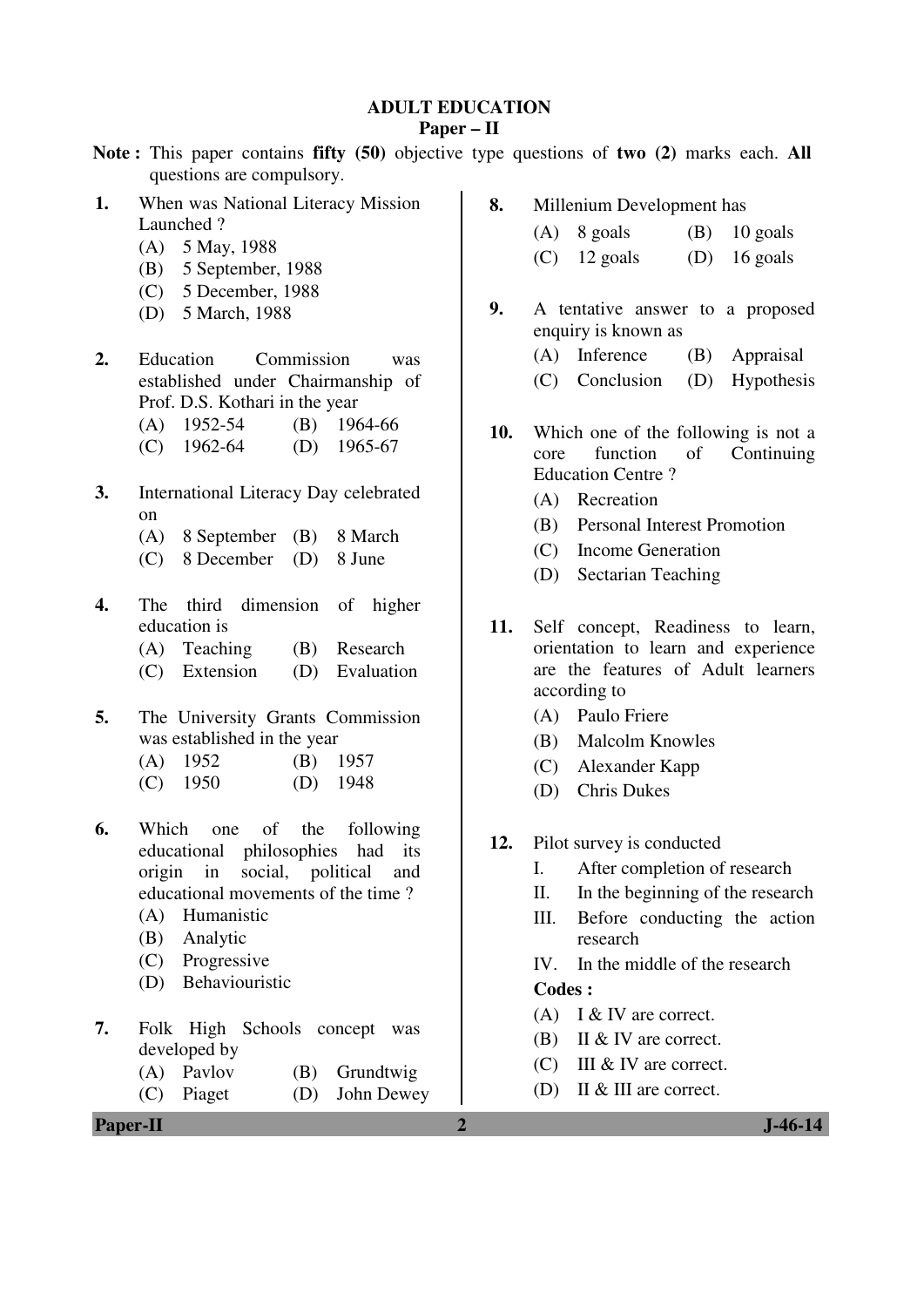#### **ADULT EDUCATION**

#### **Paper – II**

- **Note :** This paper contains **fifty (50)** objective type questions of **two (2)** marks each. **All** questions are compulsory.
- **1.** When was National Literacy Mission Launched ?
	- (A) 5 May, 1988
	- (B) 5 September, 1988
	- (C) 5 December, 1988
	- (D) 5 March, 1988
- **2.** Education Commission was established under Chairmanship of Prof. D.S. Kothari in the year
	- (A) 1952-54 (B) 1964-66
	- (C) 1962-64 (D) 1965-67
- **3.** International Literacy Day celebrated on
	- (A) 8 September (B) 8 March
	- (C) 8 December (D) 8 June
- **4.** The third dimension of higher education is
	- (A) Teaching (B) Research
	- (C) Extension (D) Evaluation
- **5.** The University Grants Commission was established in the year
	- (A) 1952 (B) 1957
	- (C) 1950 (D) 1948
- **6.** Which one of the following educational philosophies had its origin in social, political and educational movements of the time ?
	- (A) Humanistic
	- (B) Analytic
	- (C) Progressive
	- (D) Behaviouristic
- **7.** Folk High Schools concept was developed by
	- (A) Pavlov (B) Grundtwig
	- (C) Piaget (D) John Dewey
- **8.** Millenium Development has
	- $(A)$  8 goals  $(B)$  10 goals  $(C)$  12 goals  $(D)$  16 goals
- **9.** A tentative answer to a proposed enquiry is known as
	- (A) Inference (B) Appraisal
	- (C) Conclusion (D) Hypothesis
- **10.** Which one of the following is not a core function of Continuing Education Centre ?
	- (A) Recreation
	- (B) Personal Interest Promotion
	- (C) Income Generation
	- (D) Sectarian Teaching
- **11.** Self concept, Readiness to learn, orientation to learn and experience are the features of Adult learners according to
	- (A) Paulo Friere
	- (B) Malcolm Knowles
	- (C) Alexander Kapp
	- (D) Chris Dukes
- **12.** Pilot survey is conducted
	- I. After completion of research
	- II. In the beginning of the research
	- III. Before conducting the action research
	- IV. In the middle of the research

- (A) I & IV are correct.
- (B) II & IV are correct.
- (C) III & IV are correct.
- (D) II & III are correct.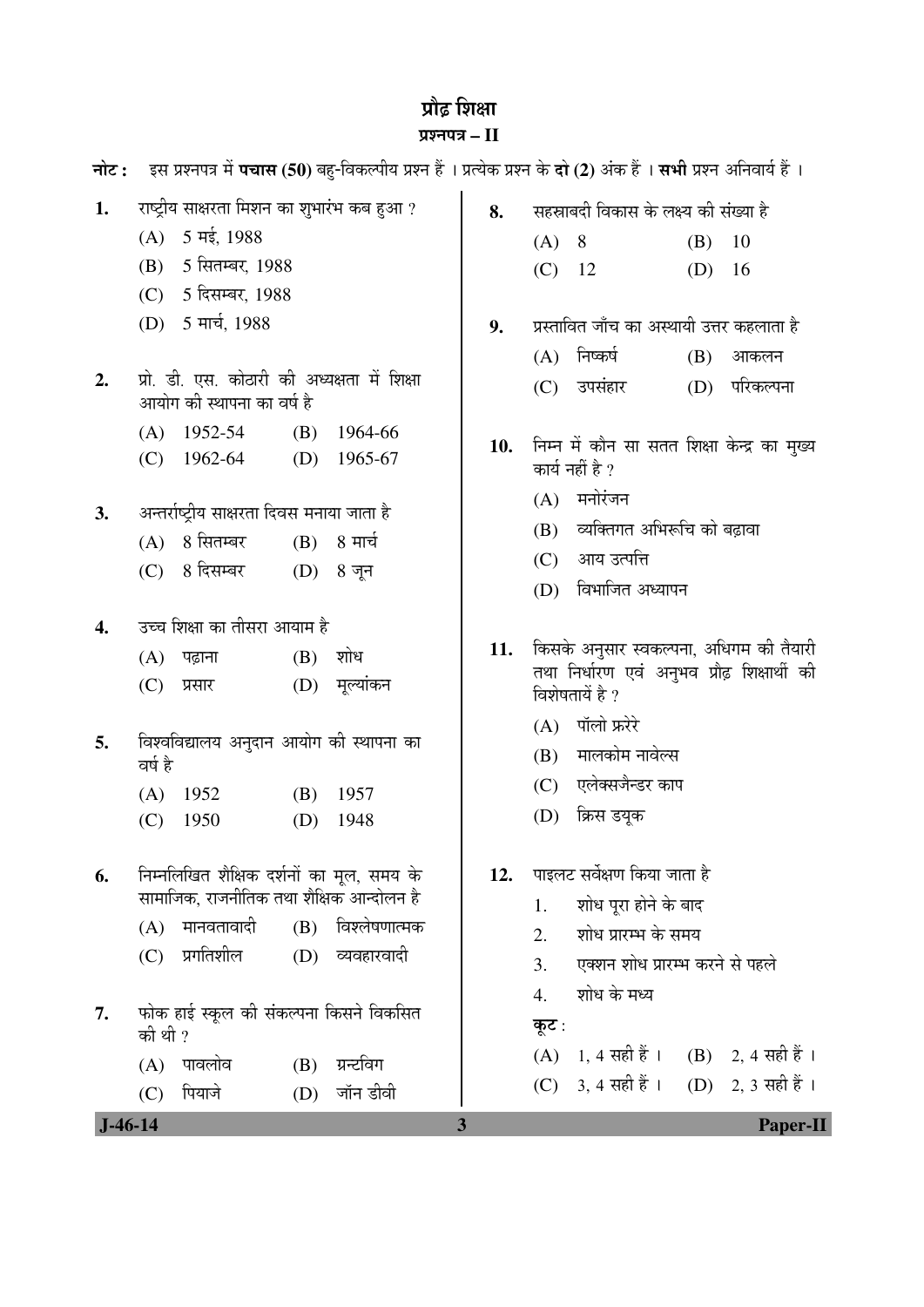# प्रौढ़ शिक्षा प्रश्नपत्र – II

**नोट :** दस प्रश्नपत्र में **पचास (50**) बहु-विकल्पीय प्रश्न हैं । प्रत्येक प्रश्न के **दो (2)** अंक हैं । **सभी** प्रश्न अनिवार्य हैं ।

| 1.<br>2.  | (A)<br>(B)                          | राष्ट्रीय साक्षरता मिशन का शुभारंभ कब हुआ ?<br>5 मई, 1988<br>5 सितम्बर, 1988<br>(C) 5 दिसम्बर, 1988<br>(D) 5 मार्च, 1988<br>प्रो. डी. एस. कोठारी की अध्यक्षता में शिक्षा |                   |                                        | 8.<br>9. | (A)<br>$(C)$ 12<br>(A)<br>(C) | सहस्राबदी विकास के लक्ष्य की संख्या है<br>8 <sup>8</sup><br>प्रस्तावित जाँच का अस्थायी उत्तर कहलाता है<br>निष्कर्ष<br>उपसंहार                                                 | (B)<br>(D)<br>(B) | 10<br>16<br>आकलन<br>(D) परिकल्पना |
|-----------|-------------------------------------|--------------------------------------------------------------------------------------------------------------------------------------------------------------------------|-------------------|----------------------------------------|----------|-------------------------------|-------------------------------------------------------------------------------------------------------------------------------------------------------------------------------|-------------------|-----------------------------------|
|           | (A)<br>(C)                          | आयोग की स्थापना का वर्ष है<br>1952-54<br>1962-64                                                                                                                         | (B)               | 1964-66<br>(D) $1965-67$               | 10.      | (A)                           | निम्न में कौन सा सतत शिक्षा केन्द्र का मुख्य<br>कार्य नहीं है ?<br>मनोरंजन                                                                                                    |                   |                                   |
| 3.        | (A)<br>(C)                          | अन्तर्राष्ट्रीय साक्षरता दिवस मनाया जाता है<br>8 सितम्बर<br>8 दिसम्बर                                                                                                    | (B)               | 8 मार्च<br>$(D)$ 8 जून                 |          | (B)<br>(C)<br>(D)             | व्यक्तिगत अभिरूचि को बढ़ावा<br>आय उत्पत्ति<br>विभाजित अध्यापन                                                                                                                 |                   |                                   |
| 4.<br>5.  | (A)<br>(C)<br>वर्ष है<br>(A)<br>(C) | उच्च शिक्षा का तीसरा आयाम है<br>पढ़ाना<br>प्रसार<br>विश्वविद्यालय अनुदान आयोग की स्थापना का<br>1952<br>1950                                                              | (B)<br>(B)<br>(D) | शोध<br>(D) मूल्यांकन<br>1957<br>1948   | 11.      | (A)<br>(B)<br>(C)<br>(D)      | किसके अनुसार स्वकल्पना, अधिगम की तैयारी<br>तथा निर्धारण एवं अनुभव प्रौढ़ शिक्षार्थी की<br>विशेषतायें है ?<br>पॉलो फ्ररेरे<br>मालकोम नावेल्स<br>एलेक्सजैन्डर काप<br>क्रिस डयूक |                   |                                   |
| 6.<br>7.  | (A)<br>(C)<br>की थी ?               | निम्नलिखित शैक्षिक दर्शनों का मूल, समय के<br>सामाजिक, राजनीतिक तथा शैक्षिक आन्दोलन है<br>मानवतावादी<br>प्रगतिशील<br>फोक हाई स्कूल की संकल्पना किसने विकसित               |                   | (B) विश्लेषणात्मक<br>$(D)$ व्यवहारवादी | 12.      | 1.<br>2.<br>3.<br>4.<br>कूट : | पाइलट सर्वेक्षण किया जाता है<br>शोध पूरा होने के बाद<br>शोध प्रारम्भ के समय<br>एक्शन शोध प्रारम्भ करने से पहले<br>शोध के मध्य                                                 |                   |                                   |
| $J-46-14$ | (A)<br>(C)                          | पावलोव<br>पियाजे                                                                                                                                                         | (B)<br>(D)        | ग्रन्टविग<br>जॉन डीवी                  | 3        |                               | (A) 1, 4 सही हैं । (B) 2, 4 सही हैं ।<br>(C) 3, 4 सही हैं । (D) 2, 3 सही हैं ।                                                                                                |                   | <b>Paper-II</b>                   |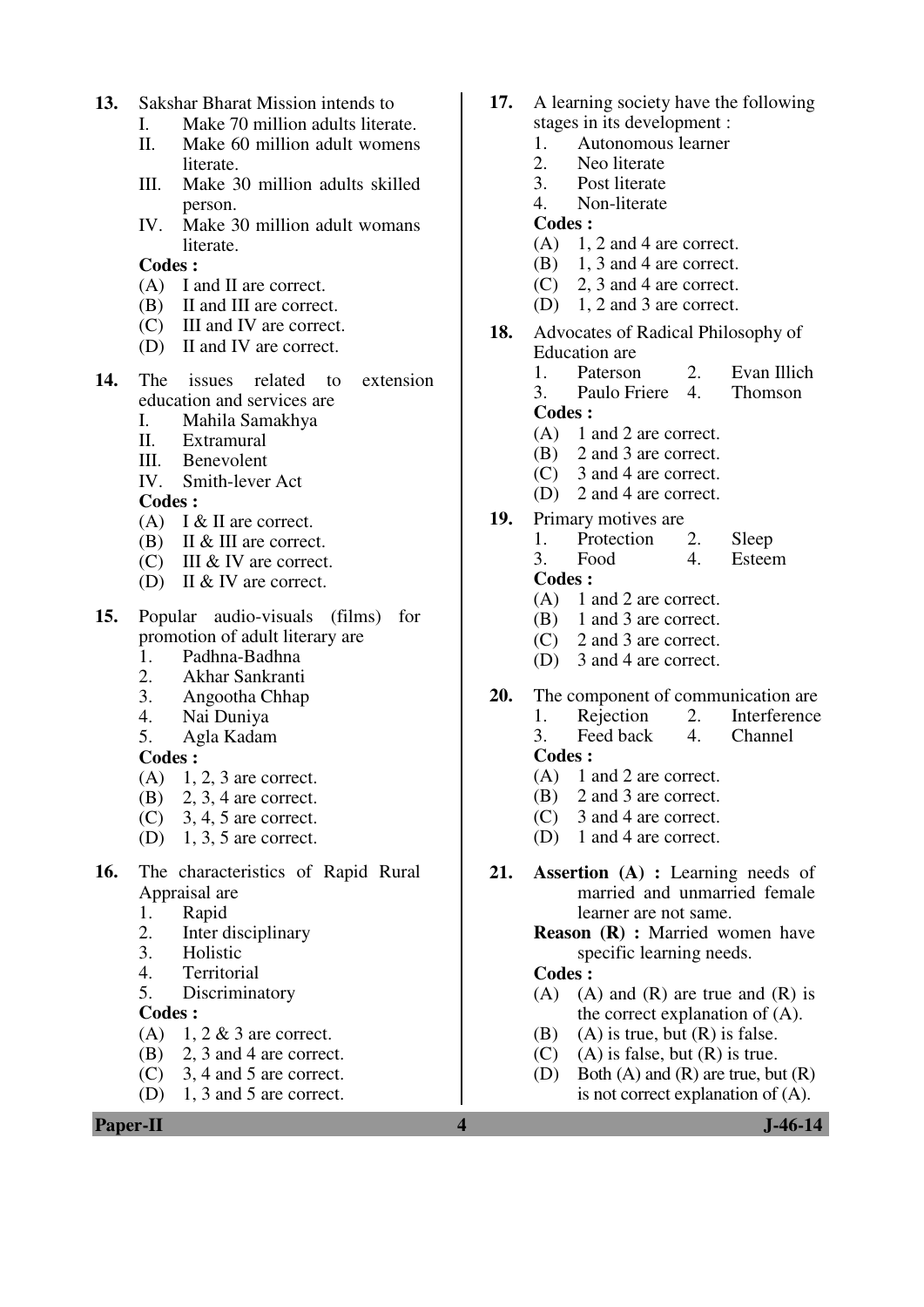- **13.** Sakshar Bharat Mission intends to
	- I. Make 70 million adults literate.
	- II. Make 60 million adult womens literate.
	- III. Make 30 million adults skilled person.
	- IV. Make 30 million adult womans literate.

- (A) I and II are correct.
- (B) II and III are correct.
- (C) III and IV are correct.
- (D) II and IV are correct.
- **14.** The issues related to extension education and services are
	- I. Mahila Samakhya
	- II. Extramural
	- III. Benevolent
	- IV. Smith-lever Act

**Codes :** 

- (A) I & II are correct.
- (B) II & III are correct.
- (C) III & IV are correct.
- (D) II & IV are correct.
- **15.** Popular audio-visuals (films) for promotion of adult literary are
	- 1. Padhna-Badhna
	- 2. Akhar Sankranti<br>3. Angootha Chhan
	- 3. Angootha Chhap
	- 4. Nai Duniya
	- 5. Agla Kadam

**Codes :** 

- $(A)$  1, 2, 3 are correct.
- (B) 2, 3, 4 are correct.
- (C) 3, 4, 5 are correct.
- (D) 1, 3, 5 are correct.
- **16.** The characteristics of Rapid Rural Appraisal are
	- 1. Rapid
	- 2. Inter disciplinary
	- 3. Holistic
	- 4. Territorial
	- 5. Discriminatory

**Codes :** 

- $(A)$  1, 2 & 3 are correct.
- (B) 2, 3 and 4 are correct.
- (C) 3, 4 and 5 are correct.
- (D) 1, 3 and 5 are correct.

**Paper-II** J-46-14

- **17.** A learning society have the following stages in its development :
	- 1. Autonomous learner<br>2. Neo literate
	- 2. Neo literate<br>3. Post literate
	- Post literate
	- 4. Non-literate
	- **Codes :**
	- $(A)$  1, 2 and 4 are correct.
	- (B) 1, 3 and 4 are correct.
	- (C) 2, 3 and 4 are correct.
	- (D) 1, 2 and 3 are correct.
- **18.** Advocates of Radical Philosophy of Education are
	- 1. Paterson 2. Evan Illich
	- 3. Paulo Friere 4. Thomson

#### **Codes :**

- (A) 1 and 2 are correct.
- (B) 2 and 3 are correct.
- (C) 3 and 4 are correct.
- (D) 2 and 4 are correct.
- **19.** Primary motives are
	- 1. Protection 2. Sleep 3. Food 4. Esteem **Codes :**
	- (A) 1 and 2 are correct.
	- (B) 1 and 3 are correct.
	-
	- (C) 2 and 3 are correct.
	- (D) 3 and 4 are correct.
- **20.** The component of communication are
	- 1. Rejection 2. Interference<br>3. Feedback 4. Channel Feed back 4. Channel
	- **Codes :**
	- (A) 1 and 2 are correct.
	- (B) 2 and 3 are correct.
	- (C) 3 and 4 are correct.
	- (D) 1 and 4 are correct.
- **21. Assertion (A) :** Learning needs of married and unmarried female learner are not same.

**Reason (R) :** Married women have specific learning needs.

- $(A)$   $(A)$  and  $(R)$  are true and  $(R)$  is the correct explanation of (A).
- (B) (A) is true, but  $(R)$  is false.
- $(C)$  (A) is false, but  $(R)$  is true.
- (D) Both (A) and (R) are true, but (R) is not correct explanation of (A).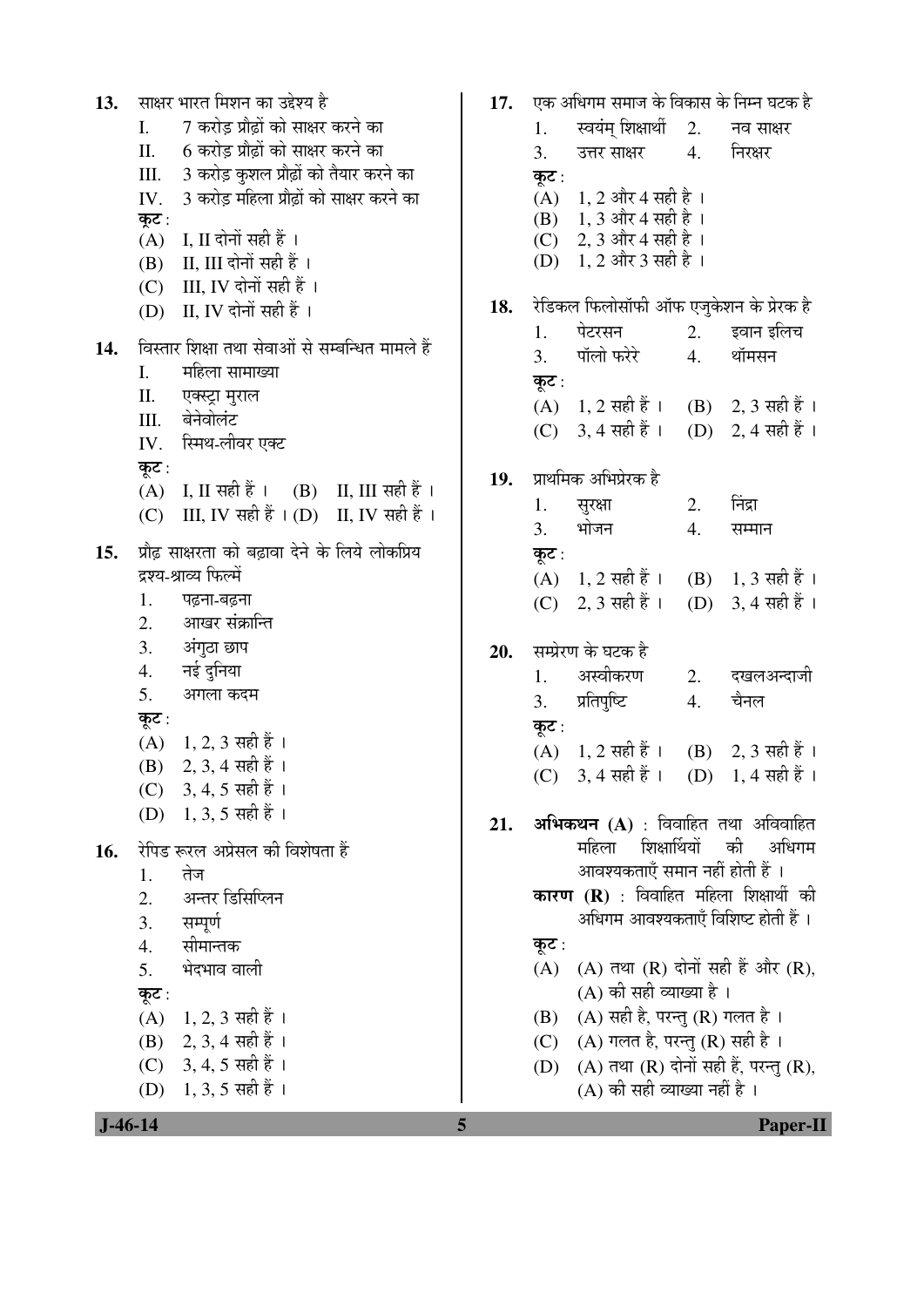| 13. | साक्षर भारत मिशन का उद्देश्य है                      | 17. |       | एक अधिगम समाज के विकास के निम्न घटक है        |    |                      |
|-----|------------------------------------------------------|-----|-------|-----------------------------------------------|----|----------------------|
|     | 7 करोड़ प्रौढ़ों को साक्षर करने का<br>I.             |     | 1.    | स्वयंम् शिक्षार्थी                            | 2. | नव साक्षर            |
|     | 6 करोड़ प्रौढ़ों को साक्षर करने का<br>Π.             |     | 3.    | उत्तर साक्षर                                  | 4. | निरक्षर              |
|     | 3 करोड़ कुशल प्रौढ़ों को तैयार करने का<br>Ш.         |     | कूट : |                                               |    |                      |
|     | 3 करोड़ महिला प्रौढ़ों को साक्षर करने का<br>IV.      |     | (A)   | $1, 2$ और 4 सही है ।                          |    |                      |
|     | कूट :                                                |     |       | (B) 1, 3 और 4 सही है।                         |    |                      |
|     | I, II दोनों सही हैं ।<br>(A)                         |     | (C)   | 2, 3 और 4 सही है ।                            |    |                      |
|     | II, III दोनों सही हैं ।<br>(B)                       |     | (D)   | $1, 2$ और 3 सही है ।                          |    |                      |
|     | III, IV दोनों सही हैं ।<br>(C)                       |     |       |                                               |    |                      |
|     | (D) II, IV दोनों सही हैं ।                           | 18. |       | रेडिकल फिलोसॉफी ऑफ एजुकेशन के प्रेरक है       |    |                      |
|     |                                                      |     | 1.    | पेटरसन                                        | 2. | इवान इलिच            |
| 14. | विस्तार शिक्षा तथा सेवाओं से सम्बन्धित मामले हैं     |     | 3.    | पॉलो फरेरे                                    | 4. | थॉमसन                |
|     | महिला सामाख्या<br>I.                                 |     | कूट : |                                               |    |                      |
|     | Π.<br>एक्स्ट्रा मुराल                                |     |       | $(A)$ 1, 2 सही हैं ।                          |    | (B) 2, 3 सही हैं ।   |
|     | बेनेवोलंट<br>Ш.                                      |     |       | $(C)$ 3, 4 सही हैं ।                          |    | (D) 2, 4 सही हैं ।   |
|     | स्मिथ-लीवर एक्ट<br>IV.                               |     |       |                                               |    |                      |
|     | कूट :                                                | 19. |       | प्राथमिक अभिप्रेरक है                         |    |                      |
|     | I, II सही हैं ।     (B)     II, III सही हैं ।<br>(A) |     | 1.    | सुरक्षा                                       | 2. | निंद्रा              |
|     | III, IV सही हैं $\mid$ (D) II, IV सही हैं ।<br>(C)   |     | 3.    | भोजन                                          | 4. | सम्मान               |
| 15. | प्रौढ़ साक्षरता को बढ़ावा देने के लिये लोकप्रिय      |     |       |                                               |    |                      |
|     | द्रश्य-श्राव्य फिल्में                               |     | कूट : |                                               |    |                      |
|     | 1.<br>पढ़ना-बढ़ना                                    |     |       | $(A)$ 1, 2 सही हैं ।                          |    | (B) 1, 3 सही हैं ।   |
|     | आखर संक्रान्ति<br>2.                                 |     |       | (C) 2, 3 सही हैं ।                            |    | (D) 3, 4 सही हैं ।   |
|     | 3.<br>अंगुठा छाप                                     |     |       |                                               |    |                      |
|     | नई दुनिया<br>4.                                      | 20. |       | सम्प्रेरण के घटक है                           |    |                      |
|     | 5.                                                   |     | 1.    | अस्वीकरण                                      | 2. | दखलअन्दाजी           |
|     | अगला कदम                                             |     | 3.    | प्रतिपुष्टि                                   | 4. | चैनल                 |
|     | कूट :                                                |     | कूट : |                                               |    |                      |
|     | $(A)$ 1, 2, 3 सही हैं।                               |     |       | $(A)$ 1, 2 सही हैं ।                          |    | (B) 2, 3 सही हैं ।   |
|     | (B) 2, 3, 4 सही हैं ।                                |     |       | (C) 3, 4 सही हैं ।                            |    | (D) $1, 4$ सही हैं । |
|     | (C) 3, 4, 5 सही हैं।                                 |     |       |                                               |    |                      |
|     | (D) 1, 3, 5 सही हैं ।                                | 21. |       | अभिकथन (A) : विवाहित तथा अविवाहित             |    |                      |
| 16. | रेपिड रूरल अप्रेसल की विशेषता हैं                    |     |       | महिला<br>शिक्षार्थियों                        |    | की<br>अधिगम          |
|     | तेज<br>1.                                            |     |       | आवश्यकताएँ समान नहीं होती हैं ।               |    |                      |
|     | अन्तर डिसिप्लिन<br>2.                                |     |       | <b>कारण (R)</b> : विवाहित महिला शिक्षार्थी की |    |                      |
|     | सम्पूर्ण<br>3.                                       |     |       | अधिगम आवश्यकताएँ विशिष्ट होती हैं ।           |    |                      |
|     | सीमान्तक<br>4.                                       |     | कूट : |                                               |    |                      |
|     | भेदभाव वाली<br>5.                                    |     | (A)   | (A) तथा (R) दोनों सही हैं और (R),             |    |                      |
|     |                                                      |     |       | (A) की सही व्याख्या है ।                      |    |                      |
|     | कूट :<br>$1, 2, 3$ सही हैं ।<br>(A)                  |     | (B)   | (A) सही है, परन्तु (R) गलत है ।               |    |                      |
|     | 2, 3, 4 सही हैं ।<br>(B)                             |     |       | $(A)$ गलत है, परन्तु $(R)$ सही है।            |    |                      |
|     |                                                      |     | (C)   |                                               |    |                      |
|     | (C) 3, 4, 5 सही हैं ।                                |     | (D)   | (A) तथा (R) दोनों सही हैं, परन्तु (R),        |    |                      |
|     | (D) 1, 3, 5 सही हैं ।                                |     |       | (A) की सही व्याख्या नहीं है ।                 |    |                      |
|     | $J - 46 - 14$                                        | 5   |       |                                               |    | <b>Paper-II</b>      |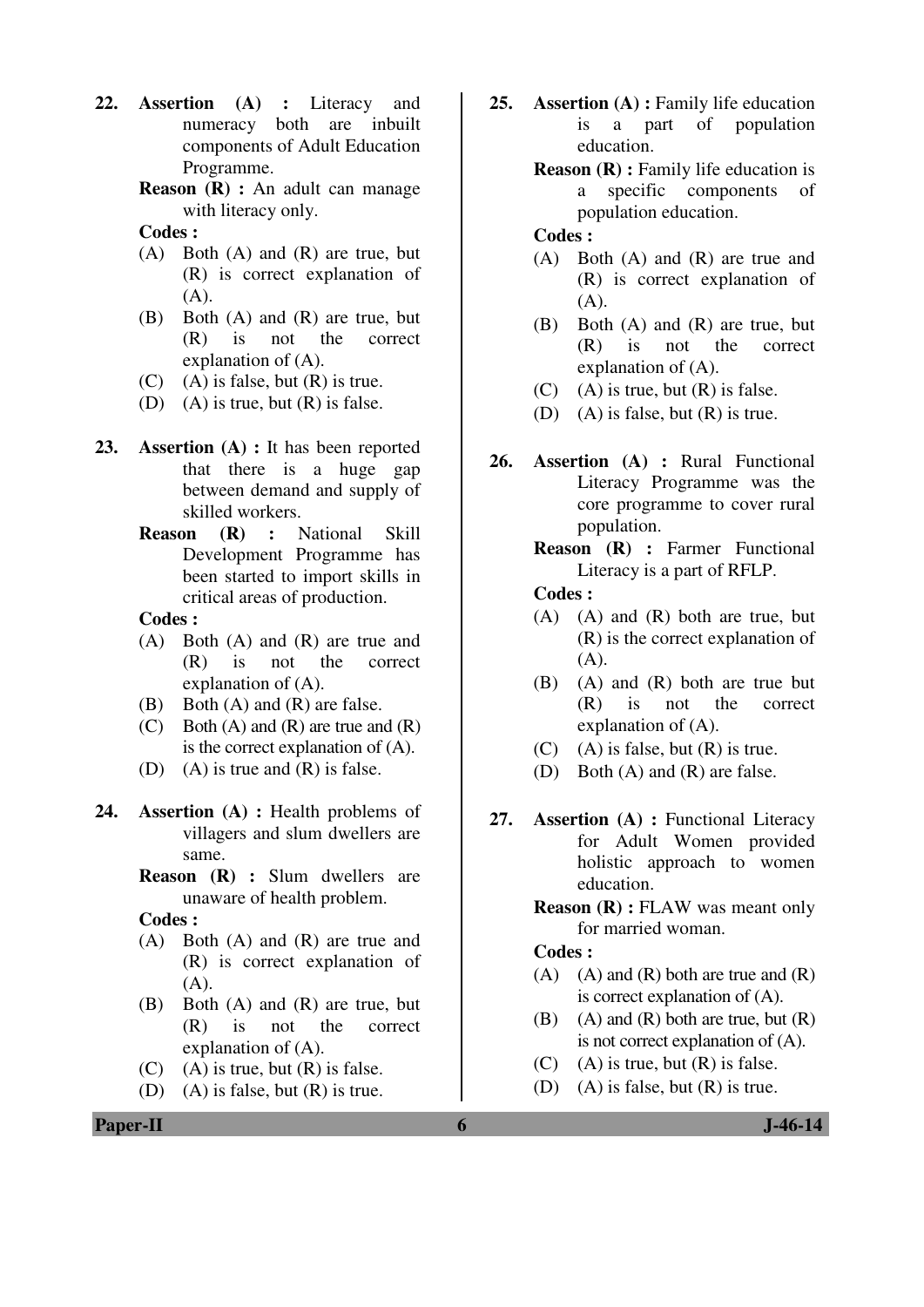- **22. Assertion (A) :** Literacy and numeracy both are inbuilt components of Adult Education Programme.
	- **Reason (R) :** An adult can manage with literacy only.
	- **Codes :**
	- (A) Both (A) and (R) are true, but (R) is correct explanation of (A).
	- (B) Both (A) and (R) are true, but (R) is not the correct explanation of (A).
	- $(C)$  (A) is false, but  $(R)$  is true.
	- (D) (A) is true, but  $(R)$  is false.
- **23. Assertion (A) :** It has been reported that there is a huge gap between demand and supply of skilled workers.
	- **Reason (R) :** National Skill Development Programme has been started to import skills in critical areas of production.

- (A) Both (A) and (R) are true and (R) is not the correct explanation of (A).
- (B) Both (A) and (R) are false.
- $(C)$  Both  $(A)$  and  $(R)$  are true and  $(R)$ is the correct explanation of (A).
- (D) (A) is true and (R) is false.
- **24. Assertion (A) :** Health problems of villagers and slum dwellers are same.
	- **Reason (R) :** Slum dwellers are unaware of health problem.

 **Codes :** 

- (A) Both (A) and (R) are true and (R) is correct explanation of  $(A)$ .
- (B) Both (A) and (R) are true, but (R) is not the correct explanation of (A).
- $(C)$  (A) is true, but  $(R)$  is false.
- (D) (A) is false, but  $(R)$  is true.
- 25. **Assertion (A):** Family life education is a part of population education.
	- **Reason (R) :** Family life education is a specific components of population education.

#### **Codes :**

- (A) Both (A) and (R) are true and (R) is correct explanation of (A).
- (B) Both (A) and (R) are true, but (R) is not the correct explanation of (A).
- $(C)$  (A) is true, but  $(R)$  is false.
- (D) (A) is false, but  $(R)$  is true.
- **26. Assertion (A) :** Rural Functional Literacy Programme was the core programme to cover rural population.
	- **Reason (R) :** Farmer Functional Literacy is a part of RFLP.

 **Codes :** 

- (A) (A) and (R) both are true, but (R) is the correct explanation of  $(A).$
- (B) (A) and (R) both are true but (R) is not the correct explanation of (A).
- (C) (A) is false, but  $(R)$  is true.
- (D) Both (A) and (R) are false.
- **27. Assertion (A) :** Functional Literacy for Adult Women provided holistic approach to women education.
	- **Reason (R) :** FLAW was meant only for married woman.

- $(A)$   $(A)$  and  $(R)$  both are true and  $(R)$ is correct explanation of (A).
- (B) (A) and  $(R)$  both are true, but  $(R)$ is not correct explanation of (A).
- $(C)$  (A) is true, but  $(R)$  is false.
- (D) (A) is false, but (R) is true.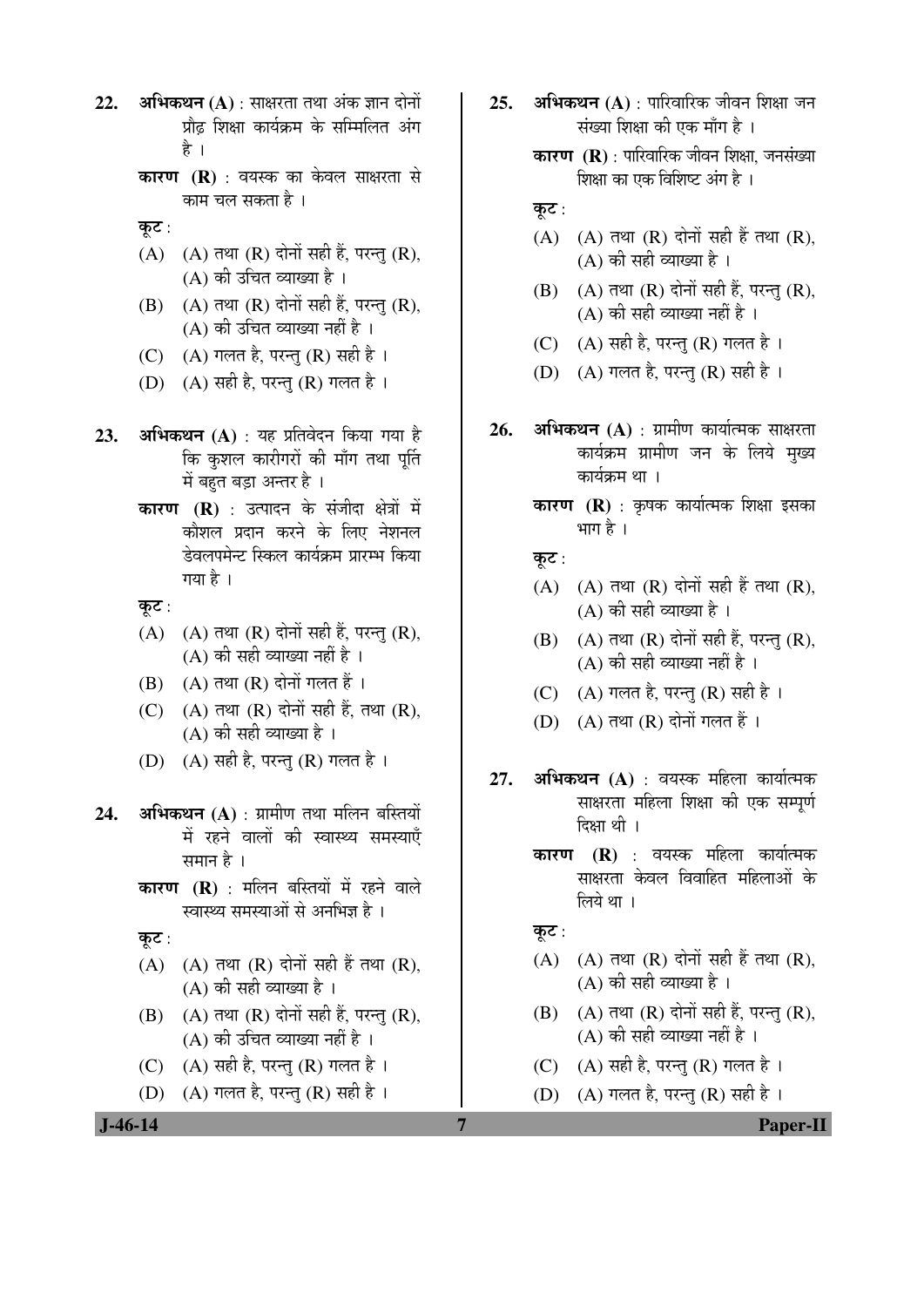- 22. **अभिकथन (A)** : साक्षरता तथा अंक ज्ञान दोनों प्रौढ शिक्षा कार्यक्रम के सम्मिलित अंग है ।
	- **कारण (R)** : वयस्क का केवल साक्षरता से काम चल सकता है ।
	- कूट:
	- $(A)$   $(A)$  तथा  $(R)$  दोनों सही हैं, परन्तु  $(R)$ ,  $(A)$  की उचित व्याख्या है ।
	- $(B)$   $(A)$  तथा  $(R)$  दोनों सही हैं, परन्त  $(R)$ , (A) की उचित व्याख्या नहीं है ।
	- (C)  $(A)$  गलत है, परन्तु (R) सही है।
	- (D)  $(A)$  सही है, परन्तु (R) गलत है।
- **23. अभिकथन (A)** : यह प्रतिवेदन किया गया है कि कुशल कारीगरों की माँग तथा पुर्ति में बहत बड़ा अन्तर है।
	- **कारण (R)** : उत्पादन के संजीदा क्षेत्रों में कौशल प्रदान करने के लिए नेशनल डेवलपमेन्ट स्किल कार्यक्रम प्रारम्भ किया गया है $\perp$
	- कूट:
	- $(A)$   $(A)$  तथा  $(R)$  दोनों सही हैं, परन्तु  $(R)$ ,  $(A)$  की सही व्याख्या नहीं है ।
	- $(B)$   $(A)$  तथा  $(R)$  दोनों गलत हैं ।
	- $(C)$   $(A)$  तथा  $(R)$  दोनों सही हैं, तथा  $(R)$ ,  $(A)$  की सही व्याख्या है।
	- $(D)$   $(A)$  सही है, परन्त $(R)$  गलत है।
- **24. अभिकथन (A)** : ग्रामीण तथा मलिन बस्तियों में रहने वालों की स्वास्थ्य समस्याएँ समान $\hat{g}$  ।
	- **कारण (R)** : मलिन बस्तियों में रहने वाले स्वास्थ्य समस्याओं से अनभिज्ञ है ।
	- कूट:
	- $(A)$   $(A)$  तथा  $(R)$  दोनों सही हैं तथा  $(R)$ ,  $(A)$  की सही व्याख्या है।
	- $(B)$   $(A)$  तथा  $(R)$  दोनों सही हैं, परन्तु  $(R)$ , (A) की उचित व्याख्या नहीं है ।
	- (C)  $(A)$  सही है, परन्तु (R) गलत है।
	- (D)  $(A)$  गलत है, परन्तु (R) सही है ।
- **25. अभिकथन (A)** : पारिवारिक जीवन शिक्षा जन संख्या शिक्षा की एक माँग है ।
	- **कारण (R)** : पारिवारिक जीवन शिक्षा, जनसंख्या शिक्षा का एक विशिष्ट अंग है ।
	- कूट :
	- $(A)$   $(A)$  तथा  $(R)$  दोनों सही हैं तथा  $(R)$ ,  $(A)$  की सही व्याख्या है।
	- $(B)$   $(A)$  तथा  $(R)$  दोनों सही हैं, परन्तु  $(R)$ , (A) की सही व्याख्या नहीं है ।
	- (C)  $(A)$  सही है, परन्तु (R) गलत है।
	- (D)  $(A)$  गलत है, परन्तु (R) सही है।
- **26. अभिकथन (A)** : ग्रामीण कार्यात्मक साक्षरता कार्यक्रम ग्रामीण जन के लिये मुख्य कार्यक्रम था ।
	- **कारण (R)** : कृषक कार्यात्मक शिक्षा इसका भाग है $\perp$
	- कूट :
	- $(A)$   $(A)$   $\overline{d}$  $\overline{q}$  $\overline{r}$  $\overline{r}$  $\overline{r}$  $\overline{r}$  $\overline{r}$  $\overline{r}$  $\overline{r}$  $\overline{r}$  $\overline{r}$  $\overline{r}$  $\overline{r}$  $\overline{r}$  $\overline{r}$  $\overline{r}$  $\overline{r}$  $\overline{r}$  $\overline{r}$  $\overline{r}$  $\overline{r}$  $\overline{r}$  $\overline{r}$  $\overline{r}$  $\overline{r}$  $\overline{r}$  $\over$  $(A)$  की सही व्याख्या है।
	- $(B)$   $(A)$  तथा  $(R)$  दोनों सही हैं, परन्तु  $(R)$ ,  $(A)$  की सही व्याख्या नहीं है)।
	- (C) (A) गलत है, परन्तु (R) सही है।
	- $(D)$   $(A)$  तथा  $(R)$  दोनों गलत हैं।
- **27. अभिकथन (A)** : वयस्क महिला कार्यात्मक साक्षरता महिला शिक्षा की एक सम्पूर्ण दिक्षा थी ।
	- **कारण (R)** : वयस्क महिला कार्यात्मक साक्षरता केवल विवाहित महिलाओं के  $\hat{a}$ या।
	- कूट $:$
	- $(A)$   $(A)$  तथा  $(R)$  दोनों सही हैं तथा  $(R)$ ,  $(A)$  की सही व्याख्या है।
	- $(B)$   $(A)$  तथा  $(R)$  दोनों सही हैं, परन्तु  $(R)$ ,  $(A)$  की सही व्याख्या नहीं है ।
	- (C)  $(A)$  सही है, परन्तु (R) गलत है।
	- (D)  $(A)$  गलत है, परन्तु (R) सही है ।

 **J-46-14 7 Paper-II**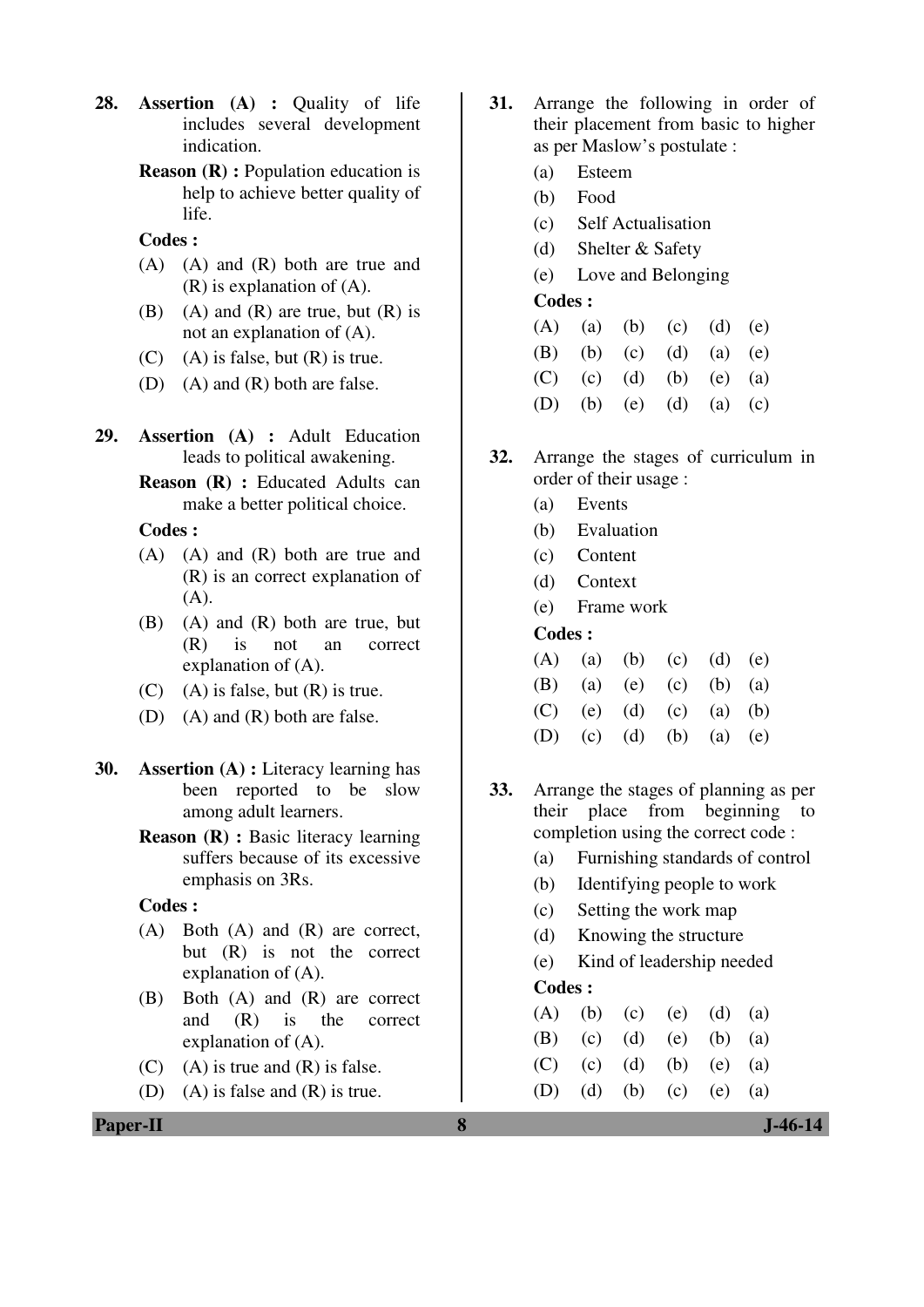- **28. Assertion (A) :** Quality of life includes several development indication.
	- **Reason (R) :** Population education is help to achieve better quality of life.

- (A) (A) and (R) both are true and (R) is explanation of (A).
- (B) (A) and (R) are true, but  $(R)$  is not an explanation of (A).
- $(C)$  (A) is false, but  $(R)$  is true.
- (D) (A) and (R) both are false.
- **29. Assertion (A) :** Adult Education leads to political awakening.
	- **Reason (R) :** Educated Adults can make a better political choice.

 **Codes :** 

- (A) (A) and (R) both are true and (R) is an correct explanation of (A).
- (B) (A) and (R) both are true, but (R) is not an correct explanation of (A).
- $(C)$  (A) is false, but  $(R)$  is true.
- (D) (A) and (R) both are false.
- **30. Assertion (A) :** Literacy learning has been reported to be slow among adult learners.
	- **Reason (R) :** Basic literacy learning suffers because of its excessive emphasis on 3Rs.

 **Codes :**

- (A) Both (A) and (R) are correct, but (R) is not the correct explanation of (A).
- (B) Both (A) and (R) are correct and (R) is the correct explanation of (A).
- $(C)$  (A) is true and  $(R)$  is false.
- (D) (A) is false and (R) is true.
- **31.** Arrange the following in order of their placement from basic to higher as per Maslow's postulate :
	- (a) Esteem
	- (b) Food
	- (c) Self Actualisation
	- (d) Shelter & Safety
	- (e) Love and Belonging

## **Codes :**

|  | (A) (a) (b) (c) (d) (e) |  |
|--|-------------------------|--|
|  | (B) (b) (c) (d) (a) (e) |  |
|  | (C) (c) (d) (b) (e) (a) |  |

- (D) (b) (e) (d) (a) (c)
- **32.** Arrange the stages of curriculum in order of their usage :
	- (a) Events
	- (b) Evaluation
	- (c) Content
	- (d) Context
	- (e) Frame work

## **Codes :**

|  | (A) (a) (b) (c) (d) (e) |  |  |
|--|-------------------------|--|--|
|  | (B) (a) (e) (c) (b) (a) |  |  |
|  | (C) (e) (d) (c) (a) (b) |  |  |
|  | (D) (c) (d) (b) (a) (e) |  |  |

- **33.** Arrange the stages of planning as per their place from beginning to completion using the correct code :
	- (a) Furnishing standards of control
	- (b) Identifying people to work
	- (c) Setting the work map
	- (d) Knowing the structure
	- (e) Kind of leadership needed **Codes :**

|  | (A) (b) (c) (e) (d) (a) |  |
|--|-------------------------|--|
|  | (B) (c) (d) (e) (b) (a) |  |
|  | (C) (c) (d) (b) (e) (a) |  |

(D) (d) (b) (c) (e) (a)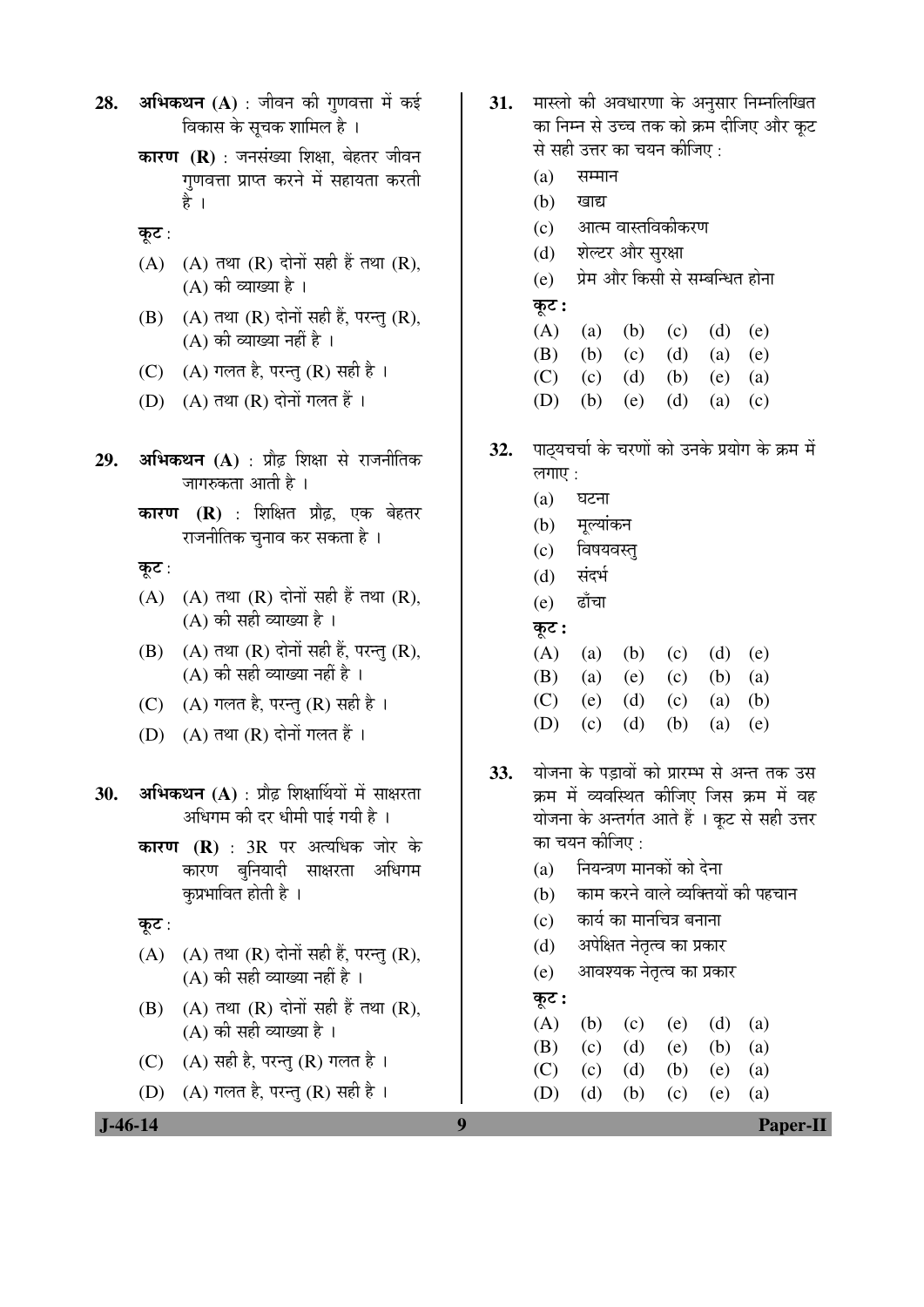28. अभिकथन (A) : जीवन की गणवत्ता में कई विकास के सूचक शामिल है ।

- **कारण (R)** : जनसंख्या शिक्षा, बेहतर जीवन गणवत्ता प्राप्त करने में सहायता करती हे ।
- कूट $:$
- $(A)$   $(A)$  तथा  $(R)$  दोनों सही हैं तथा  $(R)$ ,  $(A)$  की व्याख्या है।
- $(B)$   $(A)$  तथा  $(R)$  दोनों सही हैं, परन्तु  $(R)$ ,  $(A)$  की व्याख्या नहीं है।
- (C)  $(A)$  गलत है, परन्तु (R) सही है।
- (D)  $(A)$  तथा  $(R)$  दोनों गलत हैं।
- **29. अभिकथन (A)** : प्रौढ़ शिक्षा से राजनीतिक जागरुकता आती है ।
	- **कारण (R)** : शिक्षित प्रौढ़, एक बेहतर राजनीतिक चुनाव कर सकता है ।

कूट:

- $(A)$   $(A)$  तथा  $(R)$  दोनों सही हैं तथा  $(R)$ ,  $(A)$  की सही व्याख्या है ।
- $(B)$   $(A)$  तथा  $(R)$  दोनों सही हैं, परन्तु  $(R)$ ,  $(A)$  की सही व्याख्या नहीं है ।
- (C)  $(A)$  गलत है, परन्तु (R) सही है।
- $(D)$   $(A)$  तथा  $(R)$  दोनों गलत हैं ।

30. **अभिकथन** (A) : प्रौढ़ शिक्षार्थियों में साक्षरता अधिगम की दर धीमी पाई गयी है ।

- **कारण (R)** : 3R पर अत्यधिक जोर के कारण बुनियादी साक्षरता अधिगम कप्रभावित होती है ।
- कूट:
- $(A)$   $(A)$  तथा  $(R)$  दोनों सही हैं, परन्तु  $(R)$ ,  $(A)$  की सही व्याख्या नहीं है ।
- $(B)$   $(A)$  तथा  $(R)$  दोनों सही हैं तथा  $(R)$ , (A) की सही व्याख्या है ।
- (C)  $(A)$  सही है, परन्तु (R) गलत है।
- (D)  $(A)$  गलत है, परन्तु (R) सही है।
- 31. मास्लो की अवधारणा के अनुसार निम्नलिखित का निम्न से उच्च तक को क्रम दीजिए और कट से सही उत्तर का चयन कीजिए :
	- $(a)$  सम्मान
	- $(b)$  खाद्य
	- (c) आत्म वास्तविकीकरण
	- (d) शेल्टर और सुरक्षा
	- (e) ग्रेम और किसी से सम्बन्धित होना
	- कट:
- (A) (a) (b) (c) (d) (e)
- (B) (b) (c) (d) (a) (e)
- (C) (c) (d) (b) (e) (a)
- (D) (b) (e) (d) (a) (c)
- **32.** पाठयचर्चा के चरणों को उनके प्रयोग के क्रम में लगाए $\cdot$ 
	- $(a)$  घटना
	- (b) मुल्यांकन
	- (c) विषयवस्त्
	- (d) संदर्भ
	- (e) ढाँचा
	- कूट :

| (A) (a) (b) (c) (d) (e) |  |  |
|-------------------------|--|--|
| (B) (a) (e) (c) (b) (a) |  |  |
| (C) (e) (d) (c) (a) (b) |  |  |
| (D) (c) (d) (b) (a) (e) |  |  |

- 33. योजना के पड़ावों को प्रारम्भ से अन्त तक उस क्रम में व्यवस्थित कीजिए जिस क्रम में वह थोजना के अन्तर्गत आते हैं । कूट से सही उत्तर का चयन कीजिए :
	- (a) नियन्त्रण मानकों को देना
	- (b) काम करने वाले व्यक्तियों की पहचान
	- (c) कार्य का मानचित्र बनाना
	- (d) अपेक्षित नेतृत्व का प्रकार
	- (e) । आवश्यक नेतृत्व का प्रकार

## कूट :

|  | (A) (b) (c) (e) (d) (a) |  |  |
|--|-------------------------|--|--|
|  | (B) (c) (d) (e) (b) (a) |  |  |
|  | (C) (c) (d) (b) (e) (a) |  |  |
|  | (D) (d) (b) (c) (e) (a) |  |  |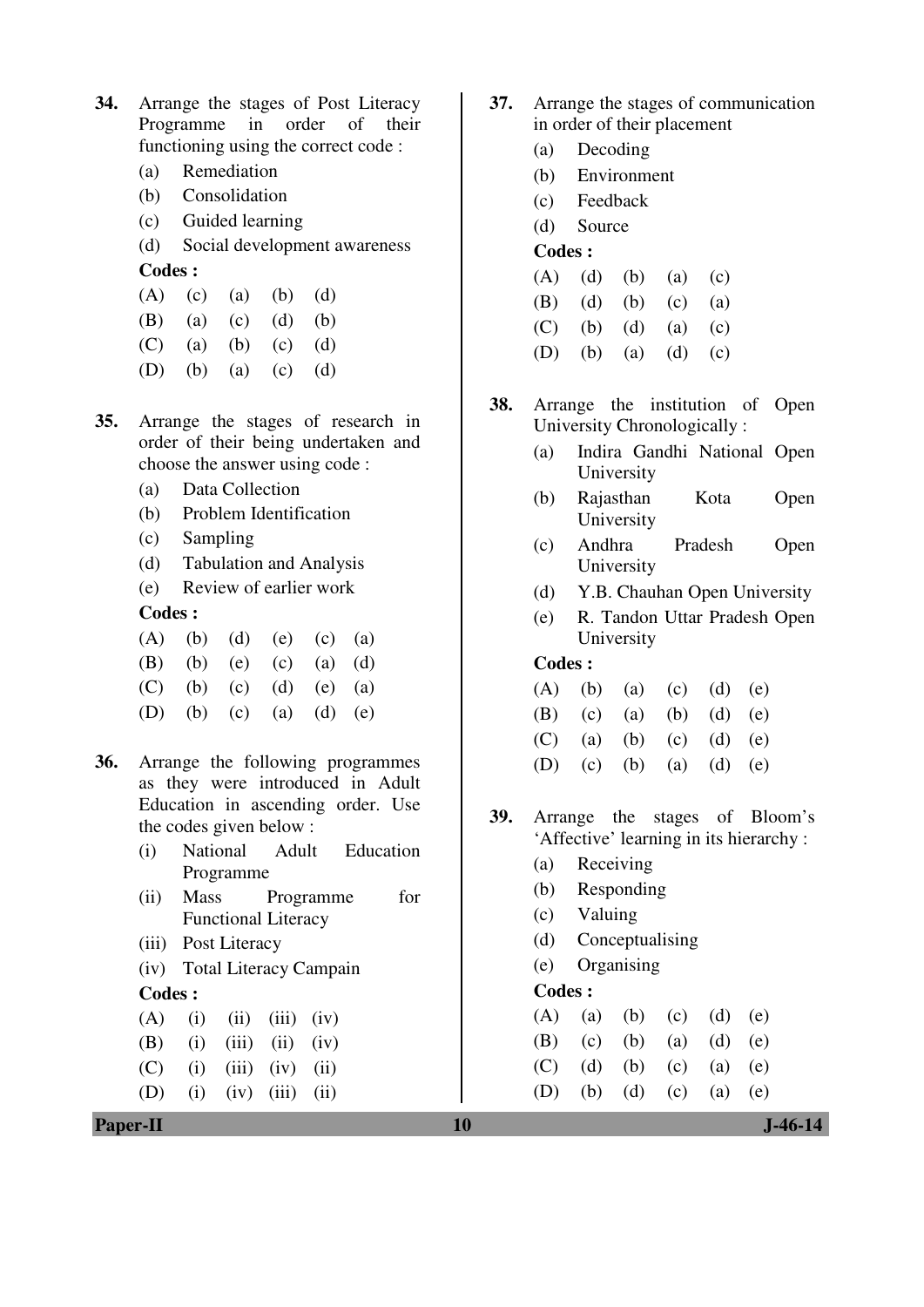- **34.** Arrange the stages of Post Literacy Programme in order of their functioning using the correct code :
	- (a) Remediation
	- (b) Consolidation
	- (c) Guided learning
	- (d) Social development awareness **Codes :**

|                     |  | (A) (c) (a) (b) (d) |  |
|---------------------|--|---------------------|--|
| (B) (a) (c) (d) (b) |  |                     |  |

- (C) (a) (b) (c) (d)
- (D) (b) (a) (c) (d)
- **35.** Arrange the stages of research in order of their being undertaken and choose the answer using code :
	- (a) Data Collection
	- (b) Problem Identification
	- (c) Sampling
	- (d) Tabulation and Analysis
	- (e) Review of earlier work

|  |  | (A) (b) (d) (e) (c) (a) |  |
|--|--|-------------------------|--|
|  |  | (B) (b) (e) (c) (a) (d) |  |
|  |  | (C) (b) (c) (d) (e) (a) |  |
|  |  | (D) (b) (c) (a) (d) (e) |  |

- **36.** Arrange the following programmes as they were introduced in Adult Education in ascending order. Use the codes given below :
	- (i) National Adult Education Programme
	- (ii) Mass Programme for Functional Literacy
	- (iii) Post Literacy
	- (iv) Total Literacy Campain

#### **Codes :**

|  | $(A)$ (i) (ii) (iii) (iv) |  |  |
|--|---------------------------|--|--|
|  | (B) (i) (iii) (ii) (iv)   |  |  |
|  | $(C)$ (i) (iii) (iv) (ii) |  |  |
|  | (D) (i) (iv) (iii) (ii)   |  |  |

**Paper-II** J-46-14

- **37.** Arrange the stages of communication in order of their placement
	- (a) Decoding
	- (b) Environment
	- (c) Feedback
	- (d) Source
	- **Codes :**
	- $(A)$   $(d)$   $(b)$   $(a)$   $(c)$
	- (B) (d) (b) (c) (a)
	- (C) (b) (d) (a) (c)
	- (D) (b) (a) (d) (c)
- **38.** Arrange the institution of Open University Chronologically :
	- (a) Indira Gandhi National Open University
	- (b) Rajasthan Kota Open University
	- (c) Andhra Pradesh Open University
	- (d) Y.B. Chauhan Open University
	- (e) R. Tandon Uttar Pradesh Open University

## **Codes :**

|  | (A) (b) (a) (c) (d) (e) |  |  |
|--|-------------------------|--|--|
|  | (B) (c) (a) (b) (d) (e) |  |  |
|  | (C) (a) (b) (c) (d) (e) |  |  |
|  | (D) (c) (b) (a) (d) (e) |  |  |

**39.** Arrange the stages of Bloom's 'Affective' learning in its hierarchy :

- (a) Receiving
- (b) Responding
- (c) Valuing
- (d) Conceptualising
- (e) Organising

|  | $(A)$ (a) (b) (c) (d) (e) |  |  |
|--|---------------------------|--|--|
|  | (B) (c) (b) (a) (d) (e)   |  |  |
|  | (C) (d) (b) (c) (a) (e)   |  |  |
|  | (D) (b) (d) (c) (a) (e)   |  |  |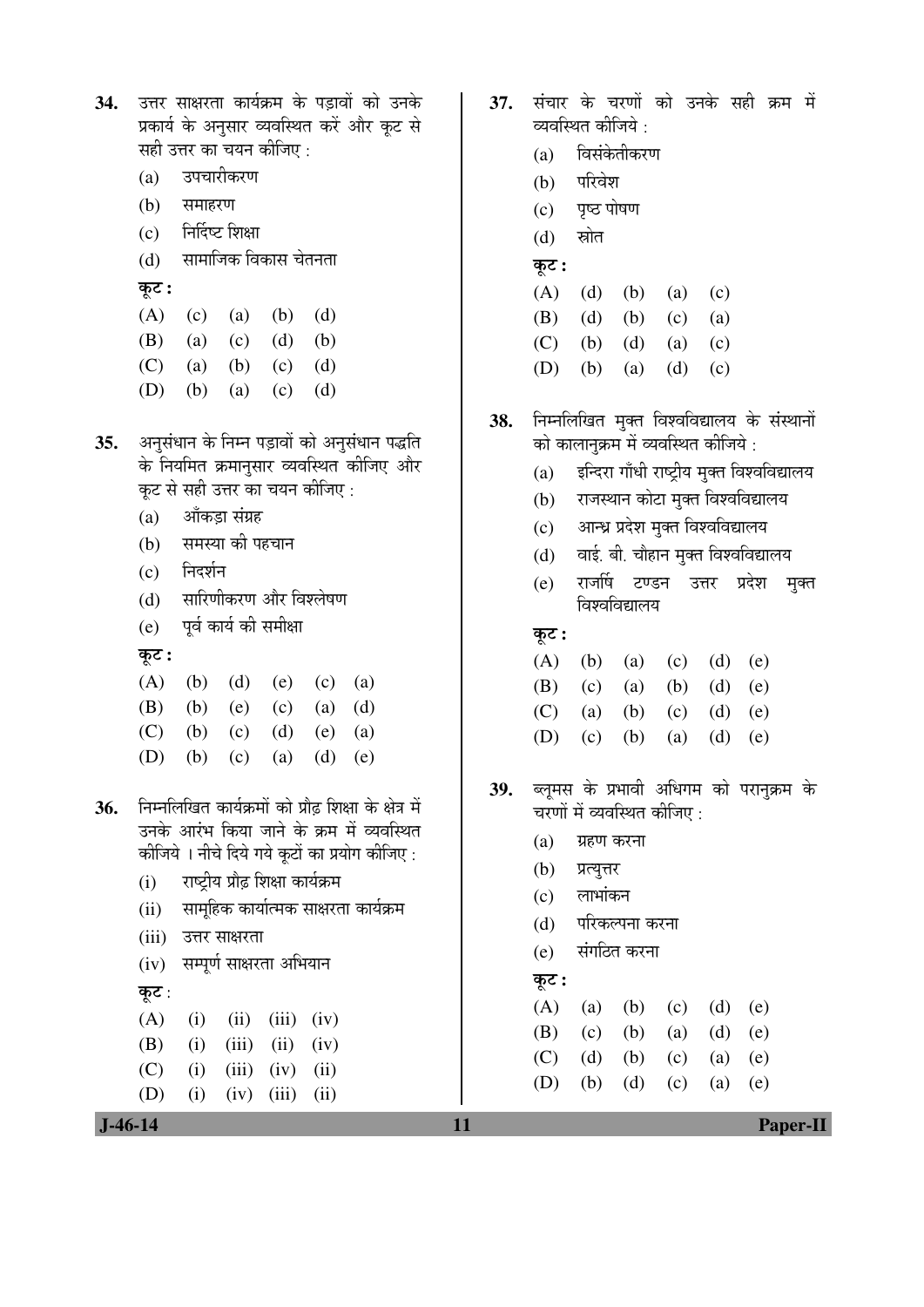| 34. उत्तर साक्षरता कार्यक्रम के पड़ावों को उनके |
|-------------------------------------------------|
| प्रकार्य के अनुसार व्यवस्थित करें और कूट से     |
| सही उत्तर का चयन कीजिए :                        |

- (a) उपचारीकरण
- (b) समाहरण
- $(c)$  निर्दिष्ट शिक्षा
- (d) सामाजिक विकास चेतनता
- कूट :
- $(A)$  (c) (a) (b) (d)
- (B) (a) (c) (d) (b)
- (C) (a) (b) (c) (d)
	- (D) (b) (a) (c) (d)
- 35. अनुसंधान के निम्न पड़ावों को अनुसंधान पद्धति के नियमित क्रमानुसार व्यवस्थित कीजिए और कूट से सही उत्तर का चयन कीजिए :
	- (a) औंकड़ा संग्रह
	- (b) समस्या की पहचान
	- (c) निदर्शन
	- (d) सारिणीकरण और विश्लेषण
	- (e) पूर्व कार्य की समीक्षा
	- कूट :
- (A) (b) (d) (e) (c) (a) (B) (b) (e) (c) (a) (d) (C) (b) (c) (d) (e) (a) (D) (b) (c) (a) (d) (e)
- 36. FEHR TEE MEER ON DE EN DE STATE ON DET उनके आरंभ किया जाने के क्रम में व्यवस्थित कीजिये । नीचे दिये गये कूटों का प्रयोग कीजिए :
	- (i) राष्ट्रीय प्रौढ़ शिक्षा कार्यक्रम
	- (ii) सामुहिक कार्यात्मक साक्षरता कार्यक्रम
	- (iii) उत्तर साक्षरता
	- (iv) सम्पूर्ण साक्षरता अभियान

 $(A)$  (i) (ii) (iii) (iv) (B) (i) (iii) (ii) (iv)  $(C)$  (i) (iii) (iv) (ii)  $(D)$  (i) (iv) (iii) (ii)

कूट:

- 37. संचार के चरणों को उनके सही क्रम में व्यवस्थित कीजिये  $\cdot$ 
	- (a) विसंकेतीकरण
	- (b) परिवेश
	- (c) पृष्ठ पोषण
	- $(d)$  स्रोत
	- $\overline{\phi}$ :
- (A) (d) (b) (a) (c) (B) (d) (b) (c) (a) (C) (b) (d) (a) (c)
	- (D) (b) (a) (d) (c)
- 38. निम्नलिखित मुक्त विश्वविद्यालय के संस्थानों को कालानुक्रम में व्यवस्थित कीजिये :
	- (a) इन्दिरा गाँधी राष्ट्रीय मुक्त विश्वविद्यालय
	- (b) राजस्थान कोटा मुक्त विश्वविद्यालय
	- (c) आन्ध्र प्रदेश मुक्त विश्वविद्यालय
	- $(d)$  वाई. बी. चौहान मुक्त विश्वविद्यालय
	- (e) राजर्षि टण्डन उत्तर प्रदेश मुक्त <u>विश्वविद्यालय</u>
	- कूट :

|  | $(A)$ $(b)$ $(a)$ $(c)$ $(d)$ $(e)$ |  |  |
|--|-------------------------------------|--|--|
|  | (B) (c) (a) (b) (d) (e)             |  |  |
|  | (C) (a) (b) (c) (d) (e)             |  |  |
|  | (D) (c) (b) (a) (d) (e)             |  |  |

- 39. ब्लमस के प्रभावी अधिगम को परानुक्रम के चरणों में व्यवस्थित कीजिए :
	- $(a)$  ग्रहण करना
	- (b) प्रत्युत्तर
	- $(c)$  लाभांकन
	- (d) परिकल्पना करना
	- (e) संगठित करना

#### $\overline{\phi}$ :

|  | (A) (a) (b) (c) (d) (e) |  |  |
|--|-------------------------|--|--|
|  | (B) (c) (b) (a) (d) (e) |  |  |
|  | (C) (d) (b) (c) (a) (e) |  |  |
|  | (D) (b) (d) (c) (a) (e) |  |  |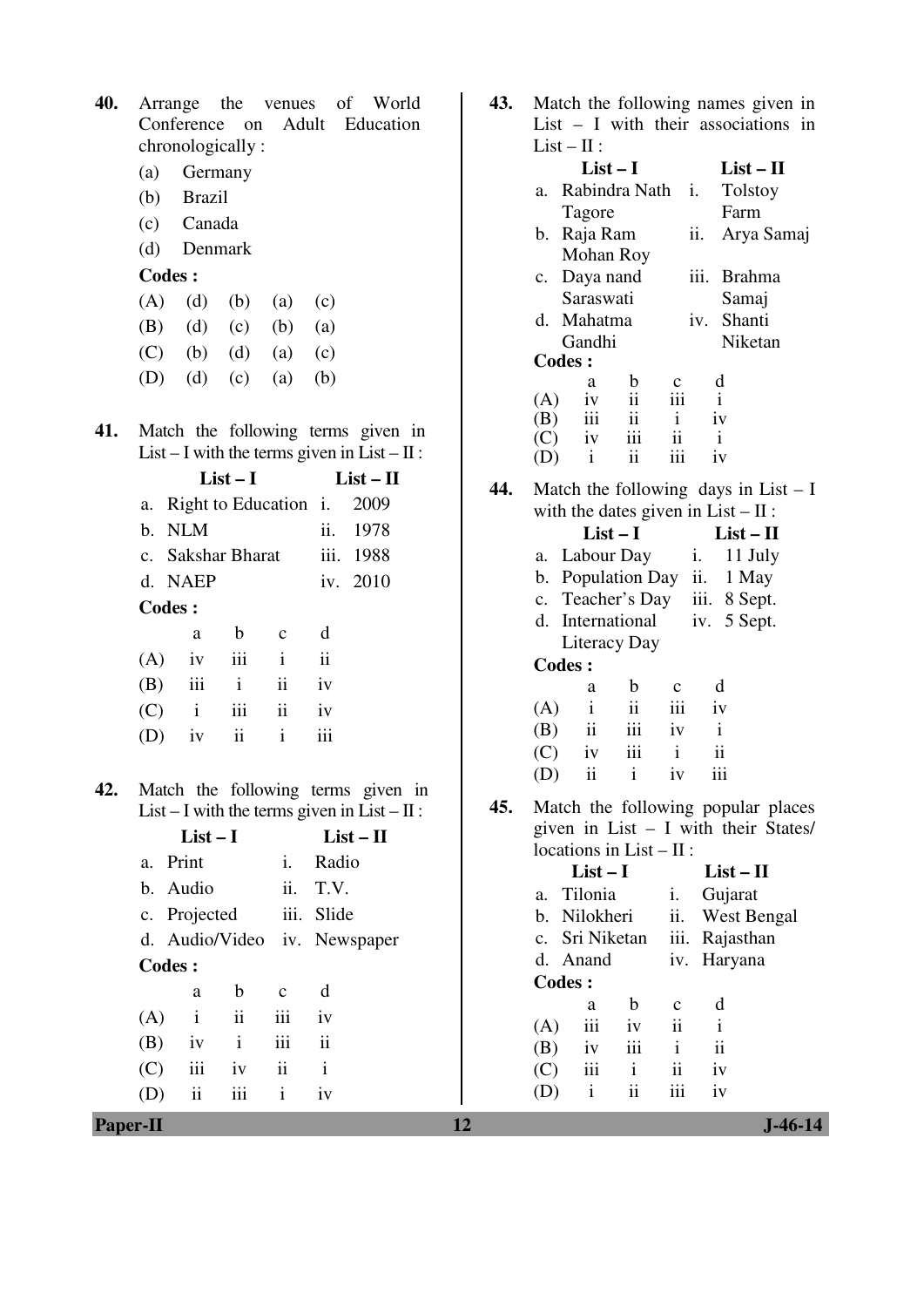| <b>40.</b> Arrange the venues of World |  |  |  |
|----------------------------------------|--|--|--|
| Conference on Adult Education          |  |  |  |
| chronologically:                       |  |  |  |

- (a) Germany
- (b) Brazil
- (c) Canada
- (d) Denmark

| $(A)$ $(d)$ $(b)$ $(a)$ $(c)$ |  |  |
|-------------------------------|--|--|
| (B) (d) (c) (b) (a)           |  |  |
| (C) (b) (d) (a) (c)           |  |  |
| (D) (d) (c) (a) (b)           |  |  |

**41.** Match the following terms given in List – I with the terms given in List –  $II$ :

|     | $List-I$                   |               | $List - II$         |                     |           |
|-----|----------------------------|---------------|---------------------|---------------------|-----------|
| a.  | Right to Education i. 2009 |               |                     |                     |           |
|     | b. NLM                     |               |                     |                     | ii. 1978  |
|     | c. Sakshar Bharat          |               |                     |                     | iii. 1988 |
|     | d. NAEP                    |               |                     |                     | iv. 2010  |
|     | <b>Codes:</b>              |               |                     |                     |           |
|     | a                          | b             | C                   | d                   |           |
| (A) | iv                         | iii           | $\mathbf{i}$        | $\ddot{\mathbf{i}}$ |           |
| (B) | iii                        | $\mathbf{i}$  | $\ddot{\mathbf{i}}$ | iv                  |           |
| (C) | $\mathbf{i}$               | iii           | ii                  | iv                  |           |
|     | iv                         | $\mathbf{ii}$ | i                   |                     |           |
|     |                            |               |                     |                     |           |

**42.** Match the following terms given in List – I with the terms given in List –  $II$ :

|        | $List-I$       |                     |               | $List - II$                  |  |  |
|--------|----------------|---------------------|---------------|------------------------------|--|--|
|        | a. Print       |                     | İ.            | Radio                        |  |  |
|        | b. Audio       |                     |               | ii. T.V.                     |  |  |
|        | c. Projected   |                     |               | iii. Slide                   |  |  |
|        |                |                     |               | d. Audio/Video iv. Newspaper |  |  |
| Codes: |                |                     |               |                              |  |  |
|        | a              | b.                  | $\mathbf{c}$  | d                            |  |  |
| (A)    | $\mathbf{i}$   | $\ddot{\mathbf{i}}$ | iii           | iv                           |  |  |
| (B)    | iv             | $\mathbf{i}$        | iii           | $\ddot{\rm n}$               |  |  |
| (C)    | iii            | iv                  | $\mathbf{ii}$ | $\mathbf{i}$                 |  |  |
|        | $\ddot{\rm n}$ | iii                 | $\mathbf{i}$  | iv                           |  |  |

| 43. Match the following names given in |  |
|----------------------------------------|--|
| List $-$ I with their associations in  |  |
| $List - II$ :                          |  |

|    |     | $List-I$      |                          |     |                   |              | $List-II$      |  |
|----|-----|---------------|--------------------------|-----|-------------------|--------------|----------------|--|
| a. |     | Rabindra Nath |                          |     | $\mathbf{i}$ .    |              | <b>Tolstoy</b> |  |
|    |     | Tagore        |                          |     |                   |              | Farm           |  |
|    | b.  | Raja Ram      |                          |     | $\overline{11}$ . |              | Arya Samaj     |  |
|    |     | Mohan Roy     |                          |     |                   |              |                |  |
|    |     | c. Daya nand  |                          |     |                   |              | iii. Brahma    |  |
|    |     | Saraswati     |                          |     |                   |              | Samaj          |  |
|    |     | d. Mahatma    |                          |     |                   |              | iv. Shanti     |  |
|    |     | Gandhi        |                          |     |                   |              | Niketan        |  |
|    |     | <b>Codes:</b> |                          |     |                   |              |                |  |
|    |     | a             | b                        | c   |                   | d            |                |  |
|    | (A) | iv            | ii                       | iii |                   | $\mathbf{i}$ |                |  |
|    | (B) | iii           | $\overline{\mathbf{ii}}$ | i   |                   | iv           |                |  |
|    |     | $(C)$ iv      | iii                      | ii  |                   | i            |                |  |
|    |     | $\mathbf{i}$  | ii                       |     |                   | iv           |                |  |
|    |     |               |                          |     |                   |              |                |  |

**44.** Match the following days in List – I with the dates given in  $List - II$ :

| $List-I$            | $List-II$      |              |  |
|---------------------|----------------|--------------|--|
| a. Labour Day       | $\mathbf{1}$ . | 11 July      |  |
| b. Population Day   |                | ii. $1$ May  |  |
| c. Teacher's Day    |                | iii. 8 Sept. |  |
| d. International    |                | iv. 5 Sept.  |  |
| <b>Literacy Day</b> |                |              |  |
|                     |                |              |  |

**Codes :** 

|     | a                       | b            | $\mathbf{c}$     | d            |
|-----|-------------------------|--------------|------------------|--------------|
| (A) | $\mathbf{i}$            | ii           | $\overline{111}$ | iv           |
| (B) | $\overline{\mathbf{u}}$ | iii          | iv               | $\mathbf{i}$ |
| (C) | iv                      | iii          | $\mathbf{i}$     | ii           |
| (D) | ii                      | $\mathbf{i}$ | iv               | iii          |

**45.** Match the following popular places given in List  $-$  I with their States/ locations in List –  $II$ :

|               | $List-I$ |                |     |                     | $List-II$      |  |  |
|---------------|----------|----------------|-----|---------------------|----------------|--|--|
|               | a.       | Tilonia        |     | i.                  | Gujarat        |  |  |
|               | b.       | Nilokheri      |     | ii.                 | West Bengal    |  |  |
|               |          | c. Sri Niketan |     |                     | iii. Rajasthan |  |  |
|               |          | d. Anand       |     |                     | iv. Haryana    |  |  |
| <b>Codes:</b> |          |                |     |                     |                |  |  |
|               |          | a              | h   | $\mathbf{c}$        | d              |  |  |
|               | (A)      | iii            | iv  | ii                  | $\mathbf{i}$   |  |  |
|               | (B)      | 1V             | iii | i                   | ii             |  |  |
|               | (C)      | iii            | Ť   | $\ddot{\mathbf{i}}$ | iv             |  |  |
|               |          | i              | ii  |                     | iv             |  |  |
|               |          |                |     |                     |                |  |  |

**Paper-II** J-46-14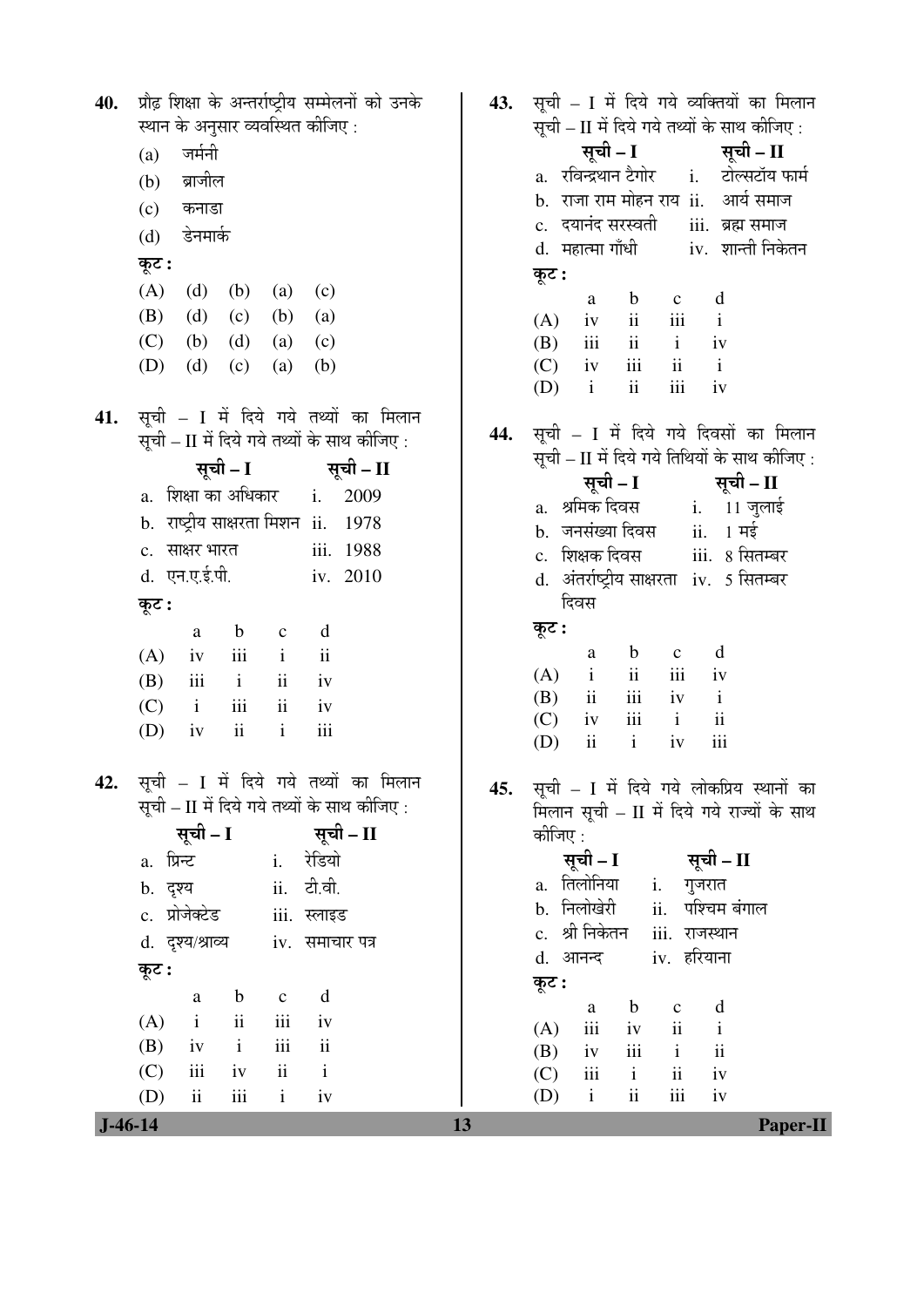| $J-46-14$ | $\rm ii$<br>iii<br>$\mathbf{i}$<br>(D)<br>iv                       | 13  | $\rm ii$<br>iii<br>$\mathbf{i}$<br>(D)<br>iv<br>Paper-II                                              |
|-----------|--------------------------------------------------------------------|-----|-------------------------------------------------------------------------------------------------------|
|           | $\rm ii$<br>iii<br>$\mathbf{i}$<br>(C)<br>iv                       |     | $\overline{\mathbf{u}}$<br>(C)<br>iii<br>$\mathbf{i}$<br>iv                                           |
|           | iii<br>(B)<br>$\mathbf{ii}$<br>iv<br>$\mathbf{i}$                  |     | $\mathbf{ii}$<br>iii<br>(B)<br>$\mathbf{i}$<br>iv                                                     |
|           | iii<br>ii<br>$\mathbf{i}$<br>(A)<br>iv                             |     | d<br>$\mathbf b$<br>$\mathbf C$<br>a<br>iii<br>ii<br>$\mathbf{i}$<br>(A)<br>iv                        |
|           | d<br>$\mathbf b$<br>a<br>$\mathbf{C}$                              |     | कूट :                                                                                                 |
|           | कूट :                                                              |     | iv. हरियाना<br>d. आनन्द                                                                               |
|           | d. दृश्य/श्राव्य<br>iv. समाचार पत्र                                |     | c. श्री निकेतन<br>iii. राजस्थान                                                                       |
|           | c. प्रोजेक्टेड<br>iii. स्लाइड                                      |     | b. निलोखेरी<br>ii. पश्चिम बंगाल                                                                       |
|           | ii. टी.वी.<br>b. दृश्य                                             |     | a. तिलोनिया<br>i. गुजरात                                                                              |
|           | a. प्रिन्ट<br>i. रेडियो                                            |     | सूची – I<br>सूची – II                                                                                 |
|           | सूची – II<br>सूची – I                                              |     | कीजिए :                                                                                               |
|           | सूची – II में दिये गये तथ्यों के साथ कीजिए :                       | 45. | मिलान सूची – II में दिये गये राज्यों के साथ                                                           |
| 42.       | सूची – I में दिये गये तथ्यों का मिलान                              |     | सूची – I में दिये गये लोकप्रिय स्थानों का                                                             |
|           | ii<br>$\mathbf{i}$<br>iii<br>(D)<br>iv                             |     | iii<br>$\mathbf{i}$<br>$\rm ii$<br>iv<br>(D)                                                          |
|           | (C)<br>$\overline{\mathbf{u}}$<br>$\mathbf{i}$<br>iii<br>iv        |     | $\rm ii$<br>iii<br>(C)<br>iv<br>$\mathbf{i}$                                                          |
|           | iii<br>$\rm ii$<br>$\mathbf{i}$<br>(B)<br>iv                       |     | ii<br>iii<br>$\mathbf{i}$<br>(A)<br>iv<br>iii<br>(B)<br>$\mathbf{i}$<br>$\overline{\mathbf{u}}$<br>iv |
|           | iii<br>$\ddot{\rm n}$<br>(A)<br>$\mathbf{i}$<br>iv                 |     | $\mathbf b$<br>d<br>$\mathbf C$<br>a                                                                  |
|           | $\mathbf b$<br>d<br>$\mathbf{C}$<br>a                              |     | कूट :                                                                                                 |
|           | कूट :                                                              |     | दिवस                                                                                                  |
|           | d. एन.ए.ई.पी.<br>iv. 2010                                          |     | d. अंतर्राष्ट्रीय साक्षरता iv. 5 सितम्बर                                                              |
|           | iii. 1988<br>c. साक्षर भारत                                        |     | iii.  8 सितम्बर<br>c.   शिक्षक दिवस                                                                   |
|           | b. राष्ट्रीय साक्षरता मिशन ii. 1978                                |     | <b>i.</b> 11 जुलाई<br>b.   जनसंख्या दिवस<br>$ii. 1$ मई                                                |
|           | a.  शिक्षा का अधिकार<br>$i$ .<br>2009                              |     | सूची – I<br>सूची – II<br>a.   श्रमिक दिवस                                                             |
|           | सूची – I<br>सूची – II                                              |     | सूची – II में दिये गये तिथियों के साथ कीजिए :                                                         |
|           | सूची – II में दिये गये तथ्यों के साथ कीजिए :                       | 44. | सूची – I में दिये गये दिवसों का मिलान                                                                 |
| 41.       | सूची – I में दिये गये तथ्यों का मिलान                              |     |                                                                                                       |
|           |                                                                    |     | $\rm ii$<br>iii<br>$\mathbf{i}$<br>(D)<br>iv                                                          |
|           | (d)<br>(D)<br>(c)<br>(b)<br>(a)                                    |     | (B)<br>iv<br>$\rm iii$<br>$\rm ii$<br>$\mathbf{i}$<br>(C)<br>iv                                       |
|           | (B)<br>(d)<br>(b)<br>(c)<br>(a)<br>(C)<br>(b)<br>(d)<br>(a)<br>(c) |     | $\,$ iii<br>ii<br>$\mathbf{i}$<br>(A)<br>iv<br>ii<br>iii<br>$\mathbf{i}$                              |
|           | (A)<br>(d)<br>(b)<br>(a)<br>(c)                                    |     | $\mathbf b$<br>d<br>$\mathbf c$<br>a                                                                  |
|           | कूट :                                                              |     | कूट :                                                                                                 |
|           | डेनमार्क<br>(d)                                                    |     | d. महात्मा गाँधी         iv.  शान्ती निकेतन                                                           |
|           | कनाडा<br>(c)                                                       |     | c.   दयानंद सरस्वती<br>iii. ब्रह्म समाज                                                               |
|           | ब्राजील<br>(b)                                                     |     | b. राजा राम मोहन राय ii. आर्य समाज                                                                    |
|           | जर्मनी<br>(a)                                                      |     | a.   रविन्द्रथान टैगोर<br><u>i.     टोल्सटॉय फार्म</u>                                                |
|           | स्थान के अनुसार व्यवस्थित कीजिए :                                  |     | सूची – II में दिये गये तथ्यों के साथ कीजिए :<br>सूची – I<br>सूची – II                                 |
| 40.       | प्रौढ़ शिक्षा के अन्तर्राष्ट्रीय सम्मेलनों को उनके                 | 43. | सूची – I में दिये गये व्यक्तियों का मिलान                                                             |
|           |                                                                    |     |                                                                                                       |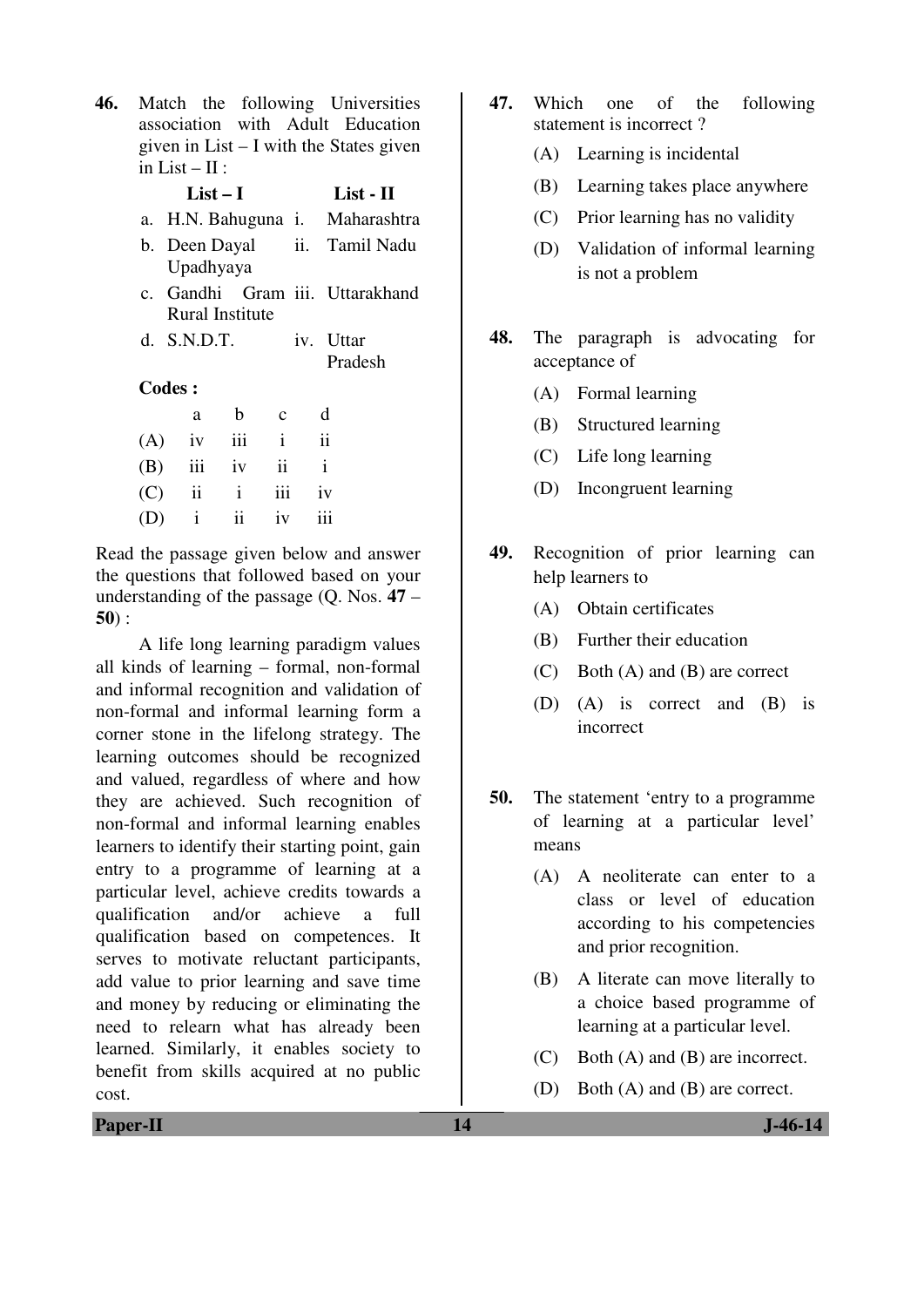**46.** Match the following Universities association with Adult Education given in List – I with the States given in List –  $\Pi$ :

|         | List $-1$       |              | List - II     |  |                                 |  |
|---------|-----------------|--------------|---------------|--|---------------------------------|--|
|         |                 |              |               |  | a. H.N. Bahuguna i. Maharashtra |  |
|         | Upadhyaya       |              |               |  | b. Deen Dayal ii. Tamil Nadu    |  |
|         | Rural Institute |              |               |  | c. Gandhi Gram iii. Uttarakhand |  |
|         | $d.$ S.N.D.T.   |              |               |  | iv. Uttar                       |  |
|         |                 |              |               |  | Pradesh                         |  |
| Codes : |                 |              |               |  |                                 |  |
|         | a               | b            | $\mathbf{C}$  |  | d                               |  |
| (A)     | iv              | iii          | $\mathbf{i}$  |  | $\mathbf{ii}$                   |  |
| (B)     | iii             | iv           | $\mathbf{ii}$ |  | $\mathbf{i}$                    |  |
| (C)     | $\ddot{\rm ii}$ | $\mathbf{i}$ | iii           |  | iv                              |  |
|         | $\mathbf{i}$    | ii           | iv            |  | iii                             |  |

Read the passage given below and answer the questions that followed based on your understanding of the passage (Q. Nos. **47** – **50**) :

 A life long learning paradigm values all kinds of learning – formal, non-formal and informal recognition and validation of non-formal and informal learning form a corner stone in the lifelong strategy. The learning outcomes should be recognized and valued, regardless of where and how they are achieved. Such recognition of non-formal and informal learning enables learners to identify their starting point, gain entry to a programme of learning at a particular level, achieve credits towards a qualification and/or achieve a full qualification based on competences. It serves to motivate reluctant participants, add value to prior learning and save time and money by reducing or eliminating the need to relearn what has already been learned. Similarly, it enables society to benefit from skills acquired at no public cost.

- **47.** Which one of the following statement is incorrect ?
	- (A) Learning is incidental
	- (B) Learning takes place anywhere
	- (C) Prior learning has no validity
	- (D) Validation of informal learning is not a problem
- **48.** The paragraph is advocating for acceptance of
	- (A) Formal learning
	- (B) Structured learning
	- (C) Life long learning
	- (D) Incongruent learning
- **49.** Recognition of prior learning can help learners to
	- (A) Obtain certificates
	- (B) Further their education
	- (C) Both (A) and (B) are correct
	- (D) (A) is correct and (B) is incorrect
- **50.** The statement 'entry to a programme of learning at a particular level' means
	- (A) A neoliterate can enter to a class or level of education according to his competencies and prior recognition.
	- (B) A literate can move literally to a choice based programme of learning at a particular level.
	- (C) Both (A) and (B) are incorrect.
	- (D) Both (A) and (B) are correct.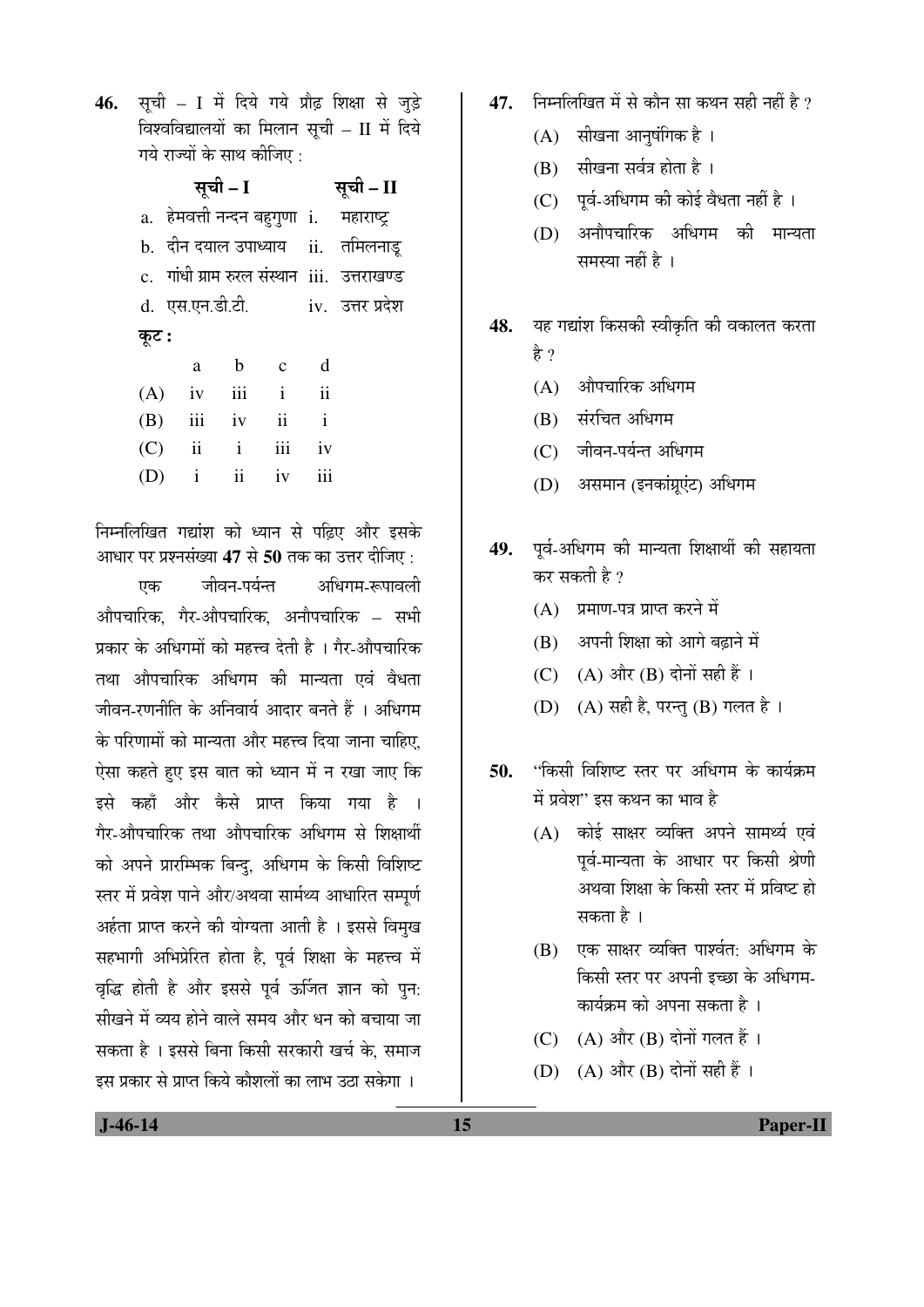46. सूची – I में दिये गये प्रौढ़ शिक्षा से जुड़े विश्वविद्यालयों का मिलान सूची – II में दिये गये राज्यों के साथ कीजिए :

|       |                 | सूची – I |                         | सूची – II               |                                              |
|-------|-----------------|----------|-------------------------|-------------------------|----------------------------------------------|
|       |                 |          |                         |                         | a.  हेमवत्ती नन्दन बहुगुणा  i.    महाराष्ट्र |
|       |                 |          |                         |                         | b. दीन दयाल उपाध्याय ii. तमिलनाडू            |
|       |                 |          |                         |                         | c. गांधी ग्राम रुरल संस्थान iii. उत्तराखण्ड  |
|       | d. एस.एन.डी.टी. |          |                         |                         | iv. उत्तर प्रदेश                             |
| कूट : |                 |          |                         |                         |                                              |
|       | a               | b c      |                         | - d                     |                                              |
|       | $(A)$ iv iii i  |          |                         | $\overline{\mathbf{u}}$ |                                              |
|       | $(B)$ iii iv    |          | $\overline{\mathbf{u}}$ | $\mathbf{i}$            |                                              |
| (C)   |                 | $ii$ $i$ | iii                     | iv                      |                                              |

(D) i ii iv iii

निम्नलिखित गद्यांश को ध्यान से पढिए और इसके आधार पर प्रश्नसंख्या 47 से 50 तक का उत्तर दीजिए :

एक जीवन-पर्यन्त अधिगम-रूपावली औपचारिक, गैर-औपचारिक, अनौपचारिक – सभी प्रकार के अधिगमों को महत्त्व देती है । गैर-औपचारिक तथा औपचारिक अधिगम की मान्यता एवं वैधता जीवन-रणनीति के अनिवार्य आदार बनते हैं । अधिगम के परिणामों को मान्यता और महत्त्व दिया जाना चाहिए. ऐसा कहते हुए इस बात को ध्यान में न रखा जाए कि इसे कहाँ और कैसे प्राप्त किया गया है गैर-औपचारिक तथा औपचारिक अधिगम से शिक्षार्थी को अपने प्रारम्भिक बिन्दु, अधिगम के किसी विशिष्ट स्तर में प्रवेश पाने और/अथवा सार्मथ्य आधारित सम्पूर्ण अर्हता प्राप्त करने की योग्यता आती है । इससे विमुख सहभागी अभिप्रेरित होता है, पूर्व शिक्षा के महत्त्व में वृद्धि होती है और इससे पूर्व ऊर्जित ज्ञान को पुन: सीखने में व्यय होने वाले समय और धन को बचाया जा सकता है । इससे बिना किसी सरकारी खर्च के. समाज इस प्रकार से प्राप्त किये कौशलों का लाभ उठा सकेगा ।

- 47. <del>•</del> निम्नलिखित में से कौन सा कथन सही नहीं है ?
	- $(A)$  सीखना आनुषंगिक है।
	- $(B)$  सीखना सर्वत्र होता है।
	- $(C)$  पूर्व-अधिगम की कोई वैधता नहीं है ।
	- (D) अनौपचारिक अधिगम की मान्यता समस्या नहीं है $\,$ ।
- 48. यह गद्यांश किसकी स्वीकृति की वकालत करता है ?
	- $(A)$  औपचारिक अधिगम
	- (B) संरचित अधिगम
	- (C) जीवन-पर्यन्त अधिगम
	- (D) असमान (इनकांग्रुएंट) अधिगम
- 49. पूर्व-अधिगम की मान्यता शिक्षार्थी की सहायता कर सकती है $\overline{v}$ 
	- (A) प्रमाण-पत्र प्राप्त करने में
	- $(B)$  अपनी शिक्षा को आगे बढाने में
	- (C)  $(A)$  और  $(B)$  दोनों सही हैं।
	- (D) (A) सही है, परन्तु (B) गलत है।
- 50. **"**किसी विशिष्ट स्तर पर अधिगम के कार्यक्रम में प्रवेश'' इस कथन का भाव है
	- (A) कोई साक्षर व्यक्ति अपने सामर्थ्य एवं पूर्व-मान्यता के आधार पर किसी श्रेणी अथवा शिक्षा के किसी स्तर में प्रविष्ट हो सकता है ।
	- (B) एक साक्षर व्यक्ति पार्श्वत: अधिगम के किसी स्तर पर अपनी इच्छा के अधिगम-कार्यक्रम को अपना सकता है ।
	- (C)  $(A)$  और  $(B)$  दोनों गलत हैं।
	- (D)  $(A)$  और  $(B)$  दोनों सही हैं।